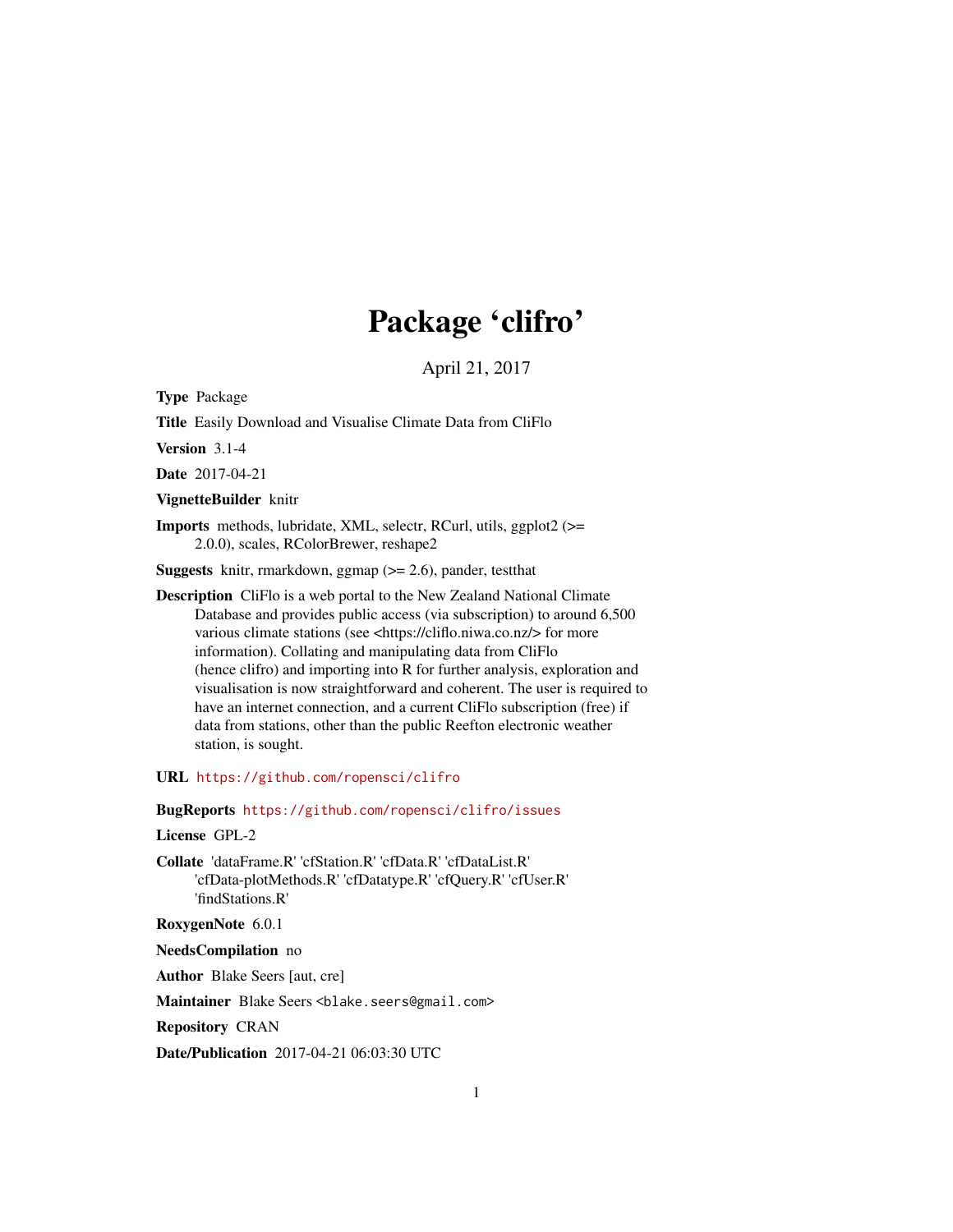# Package 'clifro'

April 21, 2017

<span id="page-0-0"></span>Type Package

Title Easily Download and Visualise Climate Data from CliFlo

Version 3.1-4

Date 2017-04-21

VignetteBuilder knitr

Imports methods, lubridate, XML, selectr, RCurl, utils, ggplot2 (>= 2.0.0), scales, RColorBrewer, reshape2

Suggests knitr, rmarkdown, ggmap (>= 2.6), pander, testthat

Description CliFlo is a web portal to the New Zealand National Climate Database and provides public access (via subscription) to around 6,500 various climate stations (see <https://cliflo.niwa.co.nz/> for more information). Collating and manipulating data from CliFlo (hence clifro) and importing into R for further analysis, exploration and visualisation is now straightforward and coherent. The user is required to have an internet connection, and a current CliFlo subscription (free) if data from stations, other than the public Reefton electronic weather station, is sought.

URL <https://github.com/ropensci/clifro>

BugReports <https://github.com/ropensci/clifro/issues>

License GPL-2

Collate 'dataFrame.R' 'cfStation.R' 'cfData.R' 'cfDataList.R' 'cfData-plotMethods.R' 'cfDatatype.R' 'cfQuery.R' 'cfUser.R' 'findStations.R'

RoxygenNote 6.0.1

NeedsCompilation no

Author Blake Seers [aut, cre]

Maintainer Blake Seers <blake.seers@gmail.com>

Repository CRAN

Date/Publication 2017-04-21 06:03:30 UTC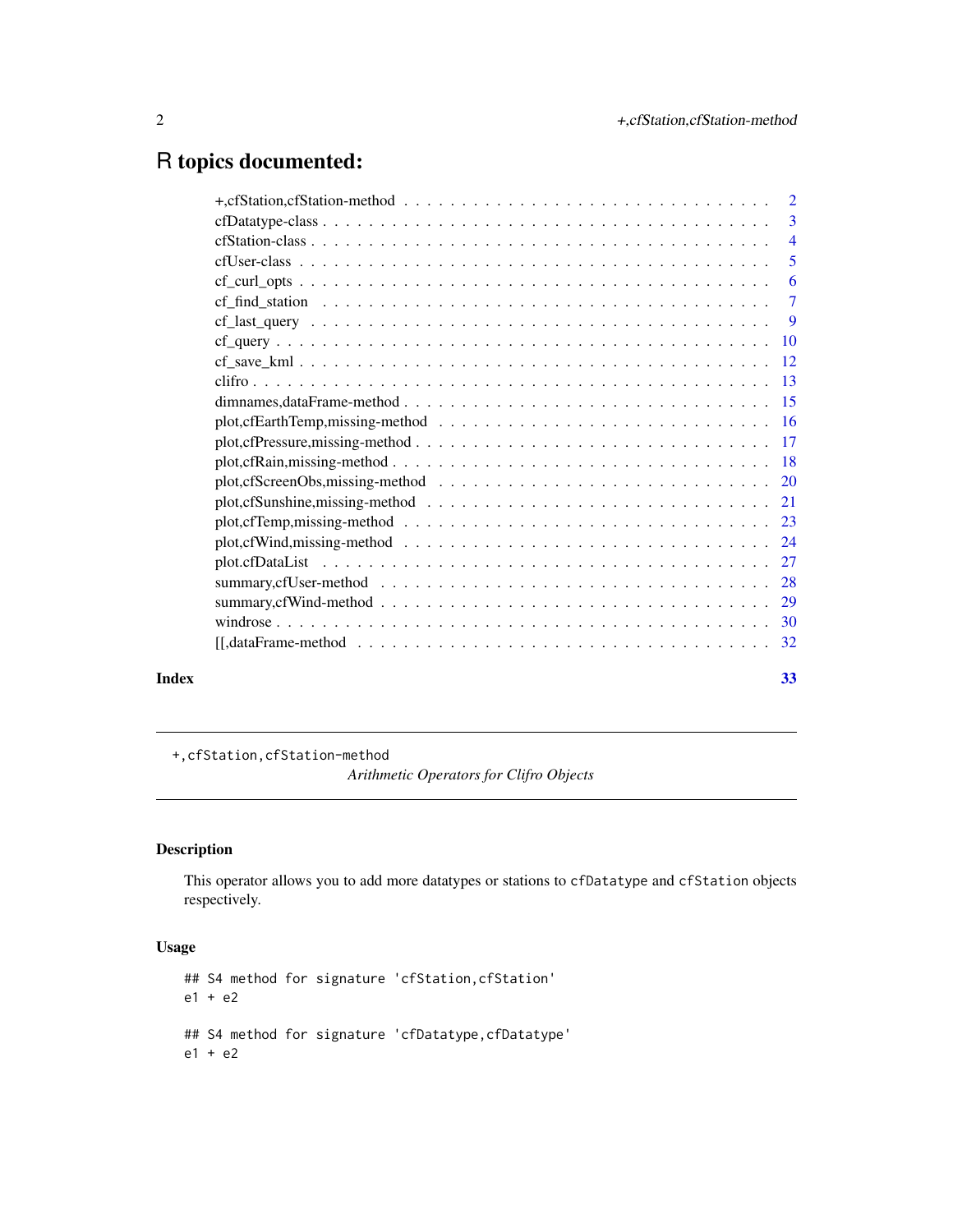# <span id="page-1-0"></span>R topics documented:

|       | +, cfStation, cfStation-method $\ldots \ldots \ldots \ldots \ldots \ldots \ldots \ldots \ldots \ldots \ldots \ldots \ldots$    |    |
|-------|--------------------------------------------------------------------------------------------------------------------------------|----|
|       |                                                                                                                                |    |
|       |                                                                                                                                |    |
|       |                                                                                                                                |    |
|       | $cf_{\text{curl}\_\text{opts}}\dots\dots\dots\dots\dots\dots\dots\dots\dots\dots\dots\dots\dots\dots\dots\dots\dots$           |    |
|       |                                                                                                                                |    |
|       |                                                                                                                                |    |
|       |                                                                                                                                |    |
|       |                                                                                                                                |    |
|       |                                                                                                                                |    |
|       |                                                                                                                                |    |
|       |                                                                                                                                |    |
|       |                                                                                                                                |    |
|       |                                                                                                                                |    |
|       |                                                                                                                                |    |
|       |                                                                                                                                |    |
|       |                                                                                                                                |    |
|       | $plot, cfWind, missing-method \dots \dots \dots \dots \dots \dots \dots \dots \dots \dots \dots \dots \dots \dots \dots \dots$ |    |
|       |                                                                                                                                |    |
|       |                                                                                                                                |    |
|       |                                                                                                                                |    |
|       |                                                                                                                                |    |
|       |                                                                                                                                |    |
| Index |                                                                                                                                | 33 |

+,cfStation,cfStation-method

*Arithmetic Operators for Clifro Objects*

# Description

This operator allows you to add more datatypes or stations to cfDatatype and cfStation objects respectively.

# Usage

```
## S4 method for signature 'cfStation,cfStation'
e1 + e2
## S4 method for signature 'cfDatatype,cfDatatype'
e1 + e2
```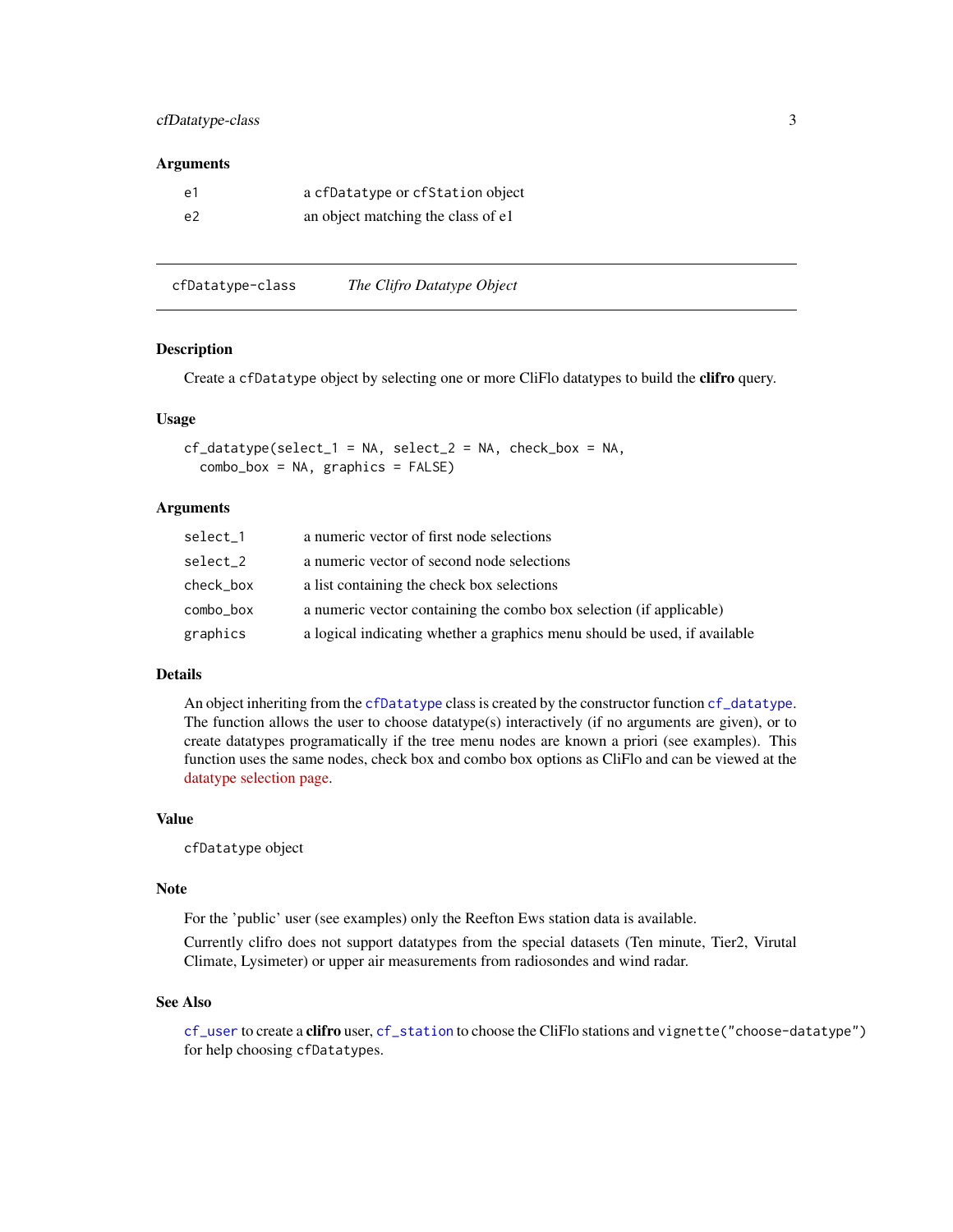# <span id="page-2-0"></span>cfDatatype-class 3

#### **Arguments**

| e1             | a cfDatatype or cfStation object   |
|----------------|------------------------------------|
| e <sup>2</sup> | an object matching the class of e1 |

cfDatatype-class *The Clifro Datatype Object*

# <span id="page-2-1"></span>Description

Create a cfDatatype object by selecting one or more CliFlo datatypes to build the clifro query.

# Usage

```
cf\_datatype(self_1 = NA, select_2 = NA, check_box = NA,combo_bx = NA, graphics = FALSE)
```
# Arguments

| select 1  | a numeric vector of first node selections                                 |
|-----------|---------------------------------------------------------------------------|
| select 2  | a numeric vector of second node selections                                |
| check_box | a list containing the check box selections                                |
| combo_box | a numeric vector containing the combo box selection (if applicable)       |
| graphics  | a logical indicating whether a graphics menu should be used, if available |

# Details

An object inheriting from the [cfDatatype](#page-2-1) class is created by the constructor function [cf\\_datatype](#page-2-1). The function allows the user to choose datatype(s) interactively (if no arguments are given), or to create datatypes programatically if the tree menu nodes are known a priori (see examples). This function uses the same nodes, check box and combo box options as CliFlo and can be viewed at the [datatype selection page.](https://cliflo.niwa.co.nz/pls/niwp/wgenf.choose_datatype?cat=cat1)

# Value

cfDatatype object

# Note

For the 'public' user (see examples) only the Reefton Ews station data is available.

Currently clifro does not support datatypes from the special datasets (Ten minute, Tier2, Virutal Climate, Lysimeter) or upper air measurements from radiosondes and wind radar.

# See Also

[cf\\_user](#page-4-1) to create a clifro user, [cf\\_station](#page-3-1) to choose the CliFlo stations and vignette("choose-datatype") for help choosing cfDatatypes.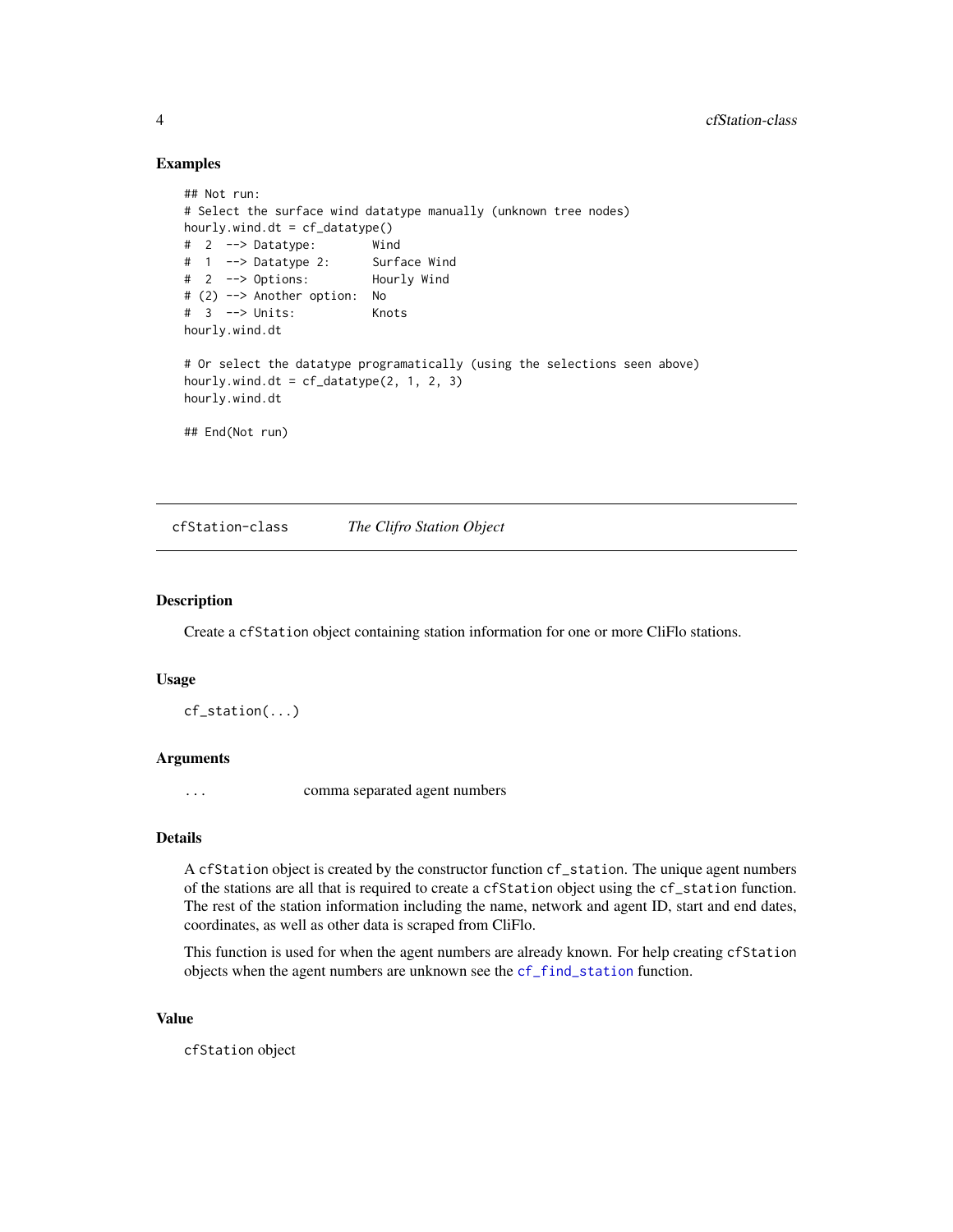# Examples

```
## Not run:
# Select the surface wind datatype manually (unknown tree nodes)
hourly.wind.dt = cf_datatype()
# 2 --> Datatype: Wind
# 1 --> Datatype 2: Surface Wind
# 2 --> Options: Hourly Wind
# (2) --> Another option: No
# 3 --> Units: Knots
hourly.wind.dt
# Or select the datatype programatically (using the selections seen above)
hourly.wind.dt = cf_datatype(2, 1, 2, 3)hourly.wind.dt
## End(Not run)
```
cfStation-class *The Clifro Station Object*

# <span id="page-3-1"></span>Description

Create a cfStation object containing station information for one or more CliFlo stations.

#### Usage

cf\_station(...)

# Arguments

... comma separated agent numbers

# Details

A cfStation object is created by the constructor function cf\_station. The unique agent numbers of the stations are all that is required to create a cfStation object using the cf\_station function. The rest of the station information including the name, network and agent ID, start and end dates, coordinates, as well as other data is scraped from CliFlo.

This function is used for when the agent numbers are already known. For help creating cfStation objects when the agent numbers are unknown see the [cf\\_find\\_station](#page-6-1) function.

# Value

cfStation object

<span id="page-3-0"></span>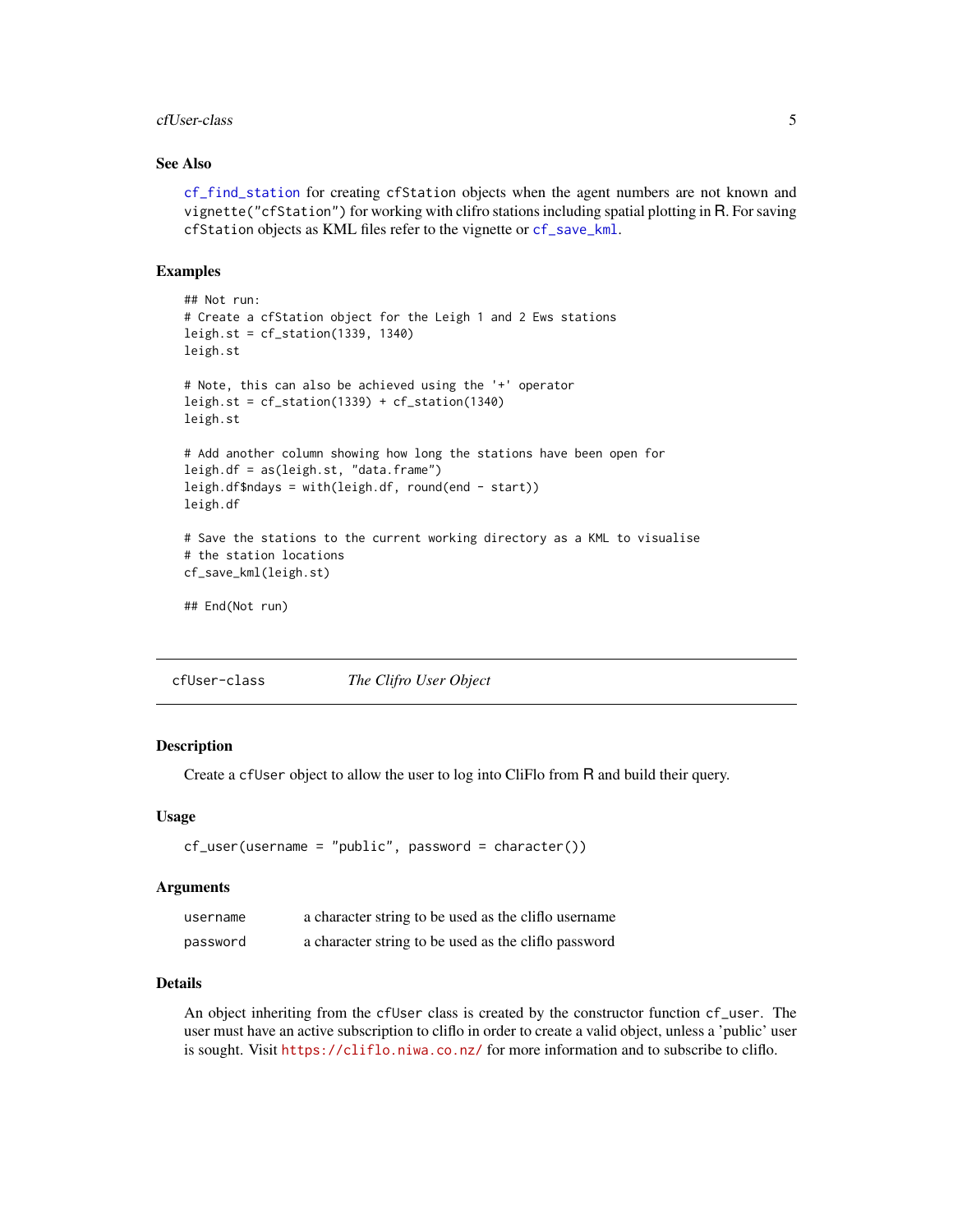#### <span id="page-4-0"></span>cfUser-class 5

# See Also

[cf\\_find\\_station](#page-6-1) for creating cfStation objects when the agent numbers are not known and vignette("cfStation") for working with clifro stations including spatial plotting in R. For saving cfStation objects as KML files refer to the vignette or [cf\\_save\\_kml](#page-11-1).

# Examples

```
## Not run:
# Create a cfStation object for the Leigh 1 and 2 Ews stations
leigh.st = cf_station(1339, 1340)
leigh.st
# Note, this can also be achieved using the '+' operator
leigh.st = cf_station(1339) + cf_station(1340)
leigh.st
# Add another column showing how long the stations have been open for
leigh.df = as(leigh.st, "data.frame")
leigh.df$ndays = with(leigh.df, round(end - start))
leigh.df
# Save the stations to the current working directory as a KML to visualise
# the station locations
cf_save_kml(leigh.st)
## End(Not run)
```
cfUser-class *The Clifro User Object*

#### <span id="page-4-1"></span>**Description**

Create a cfUser object to allow the user to log into CliFlo from R and build their query.

#### Usage

```
cf_user(username = "public", password = character())
```
# Arguments

| username | a character string to be used as the clifto username |
|----------|------------------------------------------------------|
| password | a character string to be used as the clifto password |

# Details

An object inheriting from the cfUser class is created by the constructor function cf\_user. The user must have an active subscription to cliflo in order to create a valid object, unless a 'public' user is sought. Visit <https://cliflo.niwa.co.nz/> for more information and to subscribe to cliflo.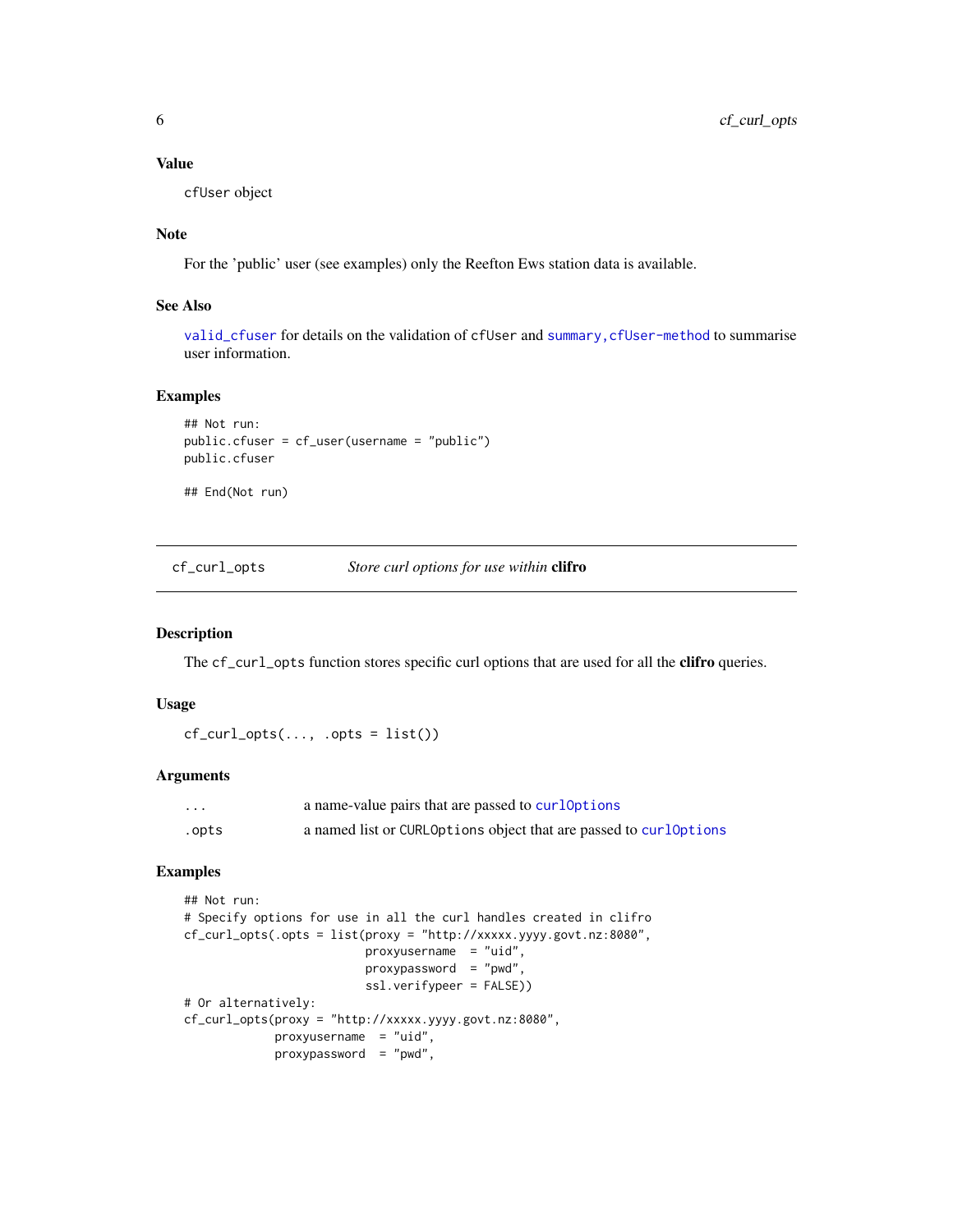# <span id="page-5-0"></span>Value

cfUser object

# **Note**

For the 'public' user (see examples) only the Reefton Ews station data is available.

# See Also

[valid\\_cfuser](#page-0-0) for details on the validation of cfUser and [summary,cfUser-method](#page-0-0) to summarise user information.

# Examples

```
## Not run:
public.cfuser = cf_user(username = "public")
public.cfuser
```
## End(Not run)

cf\_curl\_opts *Store curl options for use within* clifro

# Description

The cf\_curl\_opts function stores specific curl options that are used for all the **clifro** queries.

# Usage

```
cf\_curl\_opts(..., .opts = list())
```
# Arguments

| $\cdots$ | a name-value pairs that are passed to curloptions                 |
|----------|-------------------------------------------------------------------|
| .opts    | a named list or CURLOptions object that are passed to curlOptions |

```
## Not run:
# Specify options for use in all the curl handles created in clifro
cf_curl_opts(.opts = list(proxy = "http://xxxxx.yyyy.govt.nz:8080",
                         proxyusername = "uid",
                         proxypassword = "pwd",
                         ssl.verifypeer = FALSE))
# Or alternatively:
cf_curl_opts(proxy = "http://xxxxx.yyyy.govt.nz:8080",
            proxyusername = "uid",
            proxypassword = "pwd",
```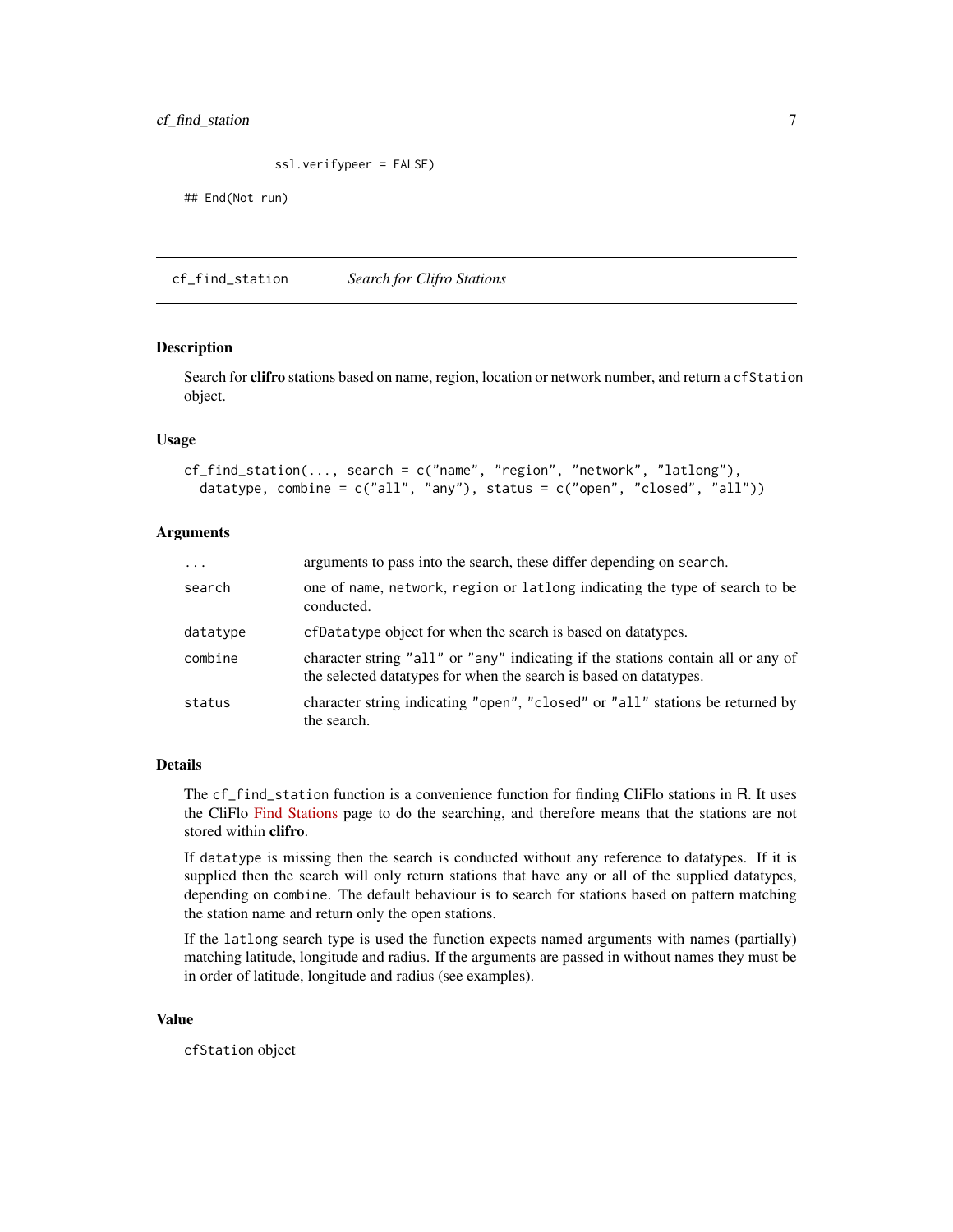# <span id="page-6-0"></span>cf\_find\_station 7

```
ssl.verifypeer = FALSE)
```
## End(Not run)

<span id="page-6-1"></span>cf\_find\_station *Search for Clifro Stations*

# Description

Search for **clifro** stations based on name, region, location or network number, and return a cfStation object.

#### Usage

```
cf_find_station(..., search = c("name", "region", "network", "latlong"),
  datatype, combine = c("all", "any"), status = c("open", "closed", "all"))
```
# Arguments

| $\cdots$ | arguments to pass into the search, these differ depending on search.                                                                                    |
|----------|---------------------------------------------------------------------------------------------------------------------------------------------------------|
| search   | one of name, network, region or latlong indicating the type of search to be<br>conducted.                                                               |
| datatype | ef Datatype object for when the search is based on datatypes.                                                                                           |
| combine  | character string "all" or "any" indicating if the stations contain all or any of<br>the selected data types for when the search is based on data types. |
| status   | character string indicating "open", "closed" or "all" stations be returned by<br>the search.                                                            |

# Details

The cf\_find\_station function is a convenience function for finding CliFlo stations in R. It uses the CliFlo [Find Stations](https://cliflo.niwa.co.nz/pls/niwp/wstn.get_stn_html) page to do the searching, and therefore means that the stations are not stored within clifro.

If datatype is missing then the search is conducted without any reference to datatypes. If it is supplied then the search will only return stations that have any or all of the supplied datatypes, depending on combine. The default behaviour is to search for stations based on pattern matching the station name and return only the open stations.

If the latlong search type is used the function expects named arguments with names (partially) matching latitude, longitude and radius. If the arguments are passed in without names they must be in order of latitude, longitude and radius (see examples).

# Value

cfStation object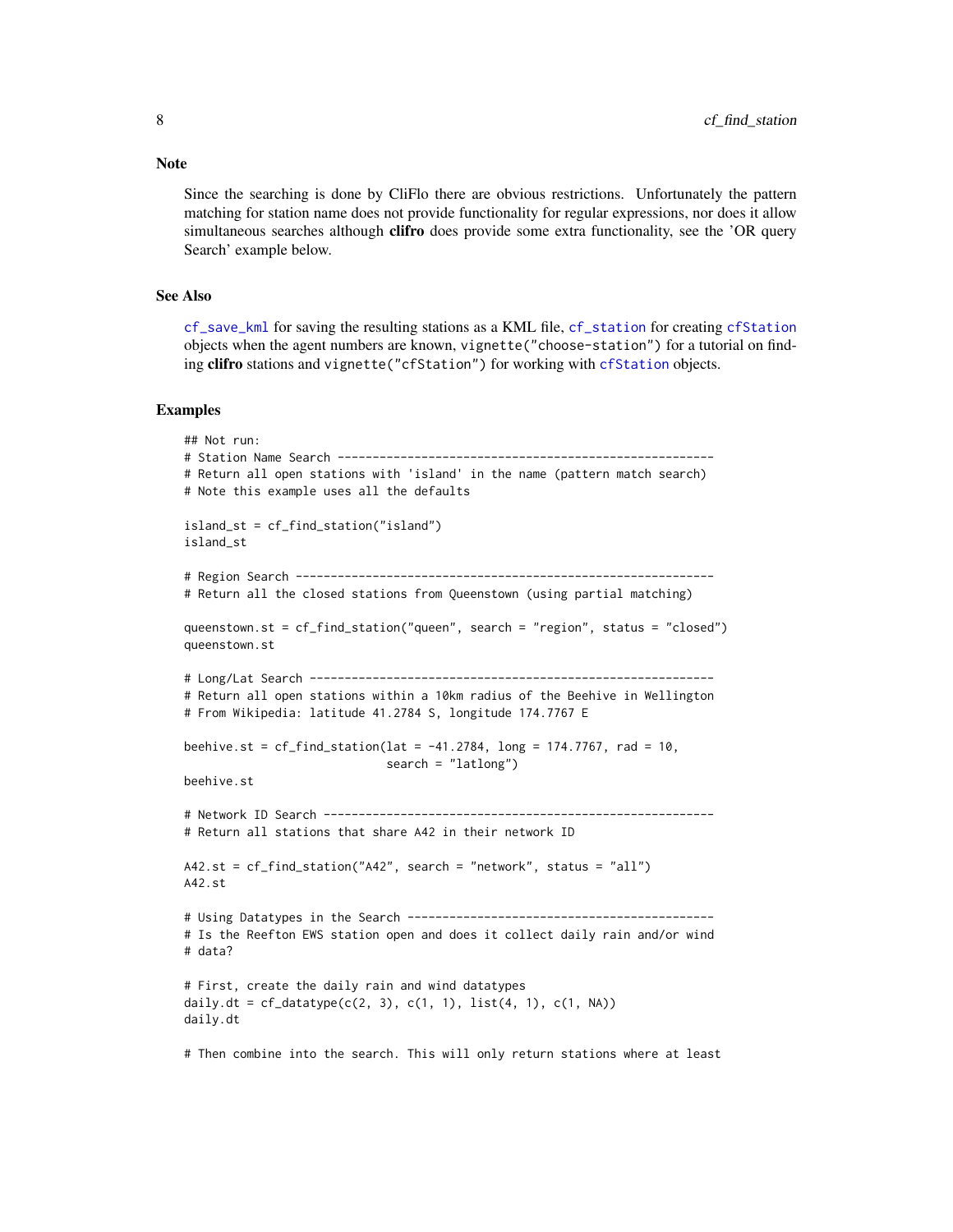Since the searching is done by CliFlo there are obvious restrictions. Unfortunately the pattern matching for station name does not provide functionality for regular expressions, nor does it allow simultaneous searches although clifro does provide some extra functionality, see the 'OR query Search' example below.

# See Also

[cf\\_save\\_kml](#page-11-1) for saving the resulting stations as a KML file, [cf\\_station](#page-3-1) for creating [cfStation](#page-3-1) objects when the agent numbers are known, vignette("choose-station") for a tutorial on finding clifro stations and vignette("cfStation") for working with [cfStation](#page-3-1) objects.

#### Examples

```
## Not run:
# Station Name Search ------------------------------------------------------
# Return all open stations with 'island' in the name (pattern match search)
# Note this example uses all the defaults
island_st = cf_find_station("island")
island_st
# Region Search ------------------------------------------------------------
# Return all the closed stations from Queenstown (using partial matching)
queenstown.st = cf_find_station("queen", search = "region", status = "closed")
queenstown.st
# Long/Lat Search ----------------------------------------------------------
# Return all open stations within a 10km radius of the Beehive in Wellington
# From Wikipedia: latitude 41.2784 S, longitude 174.7767 E
beehive.st = cf\_find\_station(lat = -41.2784, long = 174.7767, rad = 10,search = "latlong")
beehive.st
# Network ID Search --------------------------------------------------------
# Return all stations that share A42 in their network ID
A42.st = cf_find_station("A42", search = "network", status = "all")
A42.st
# Using Datatypes in the Search --------------------------------------------
# Is the Reefton EWS station open and does it collect daily rain and/or wind
# data?
# First, create the daily rain and wind datatypes
daily.dt = cf\_datatype(c(2, 3), c(1, 1), list(4, 1), c(1, NA))daily.dt
```
# Then combine into the search. This will only return stations where at least

# <span id="page-7-0"></span>**Note**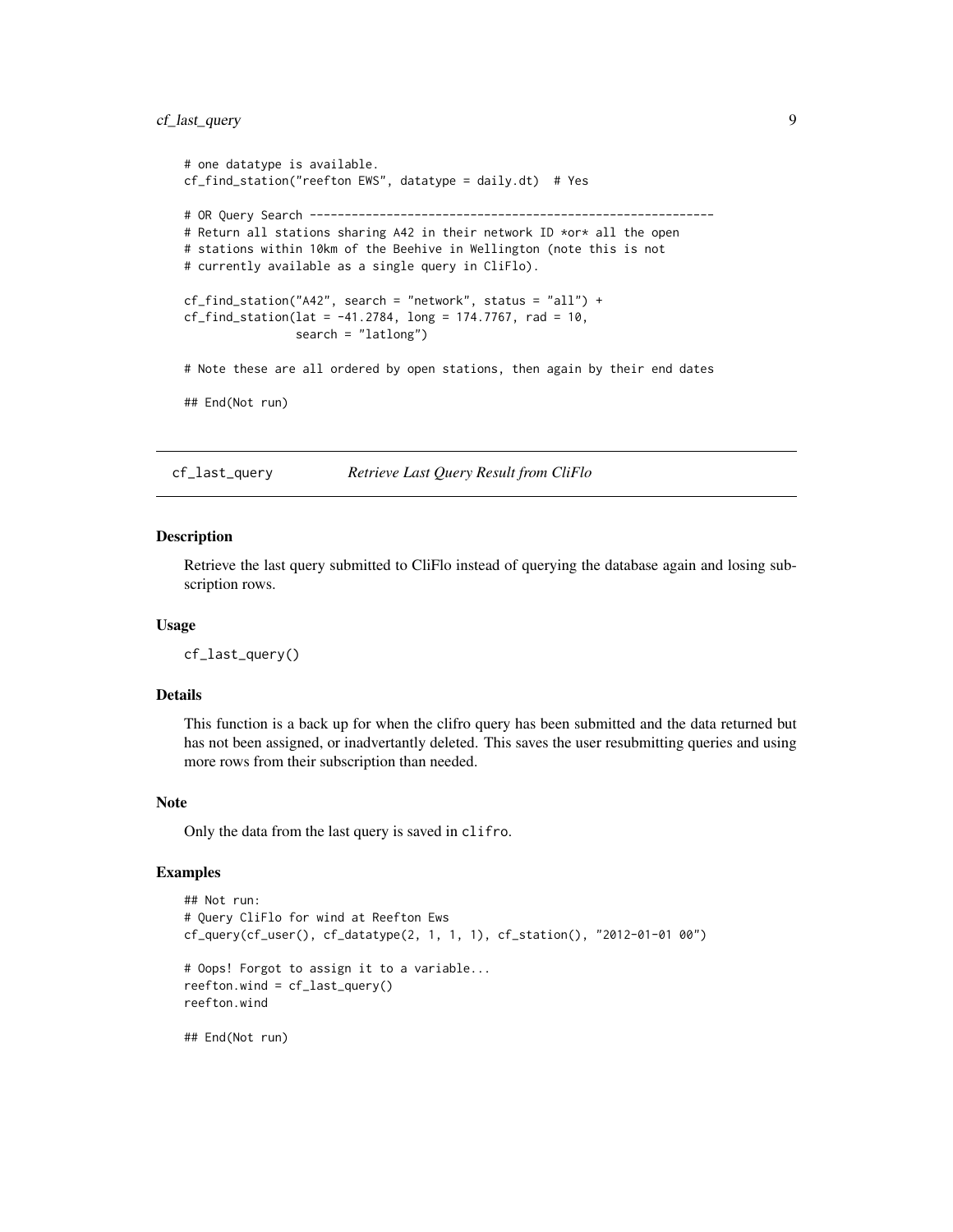# <span id="page-8-0"></span>cf\_last\_query 9

```
# one datatype is available.
cf_find_station("reefton EWS", datatype = daily.dt) # Yes
# OR Query Search ----------------------------------------------------------
# Return all stations sharing A42 in their network ID *or* all the open
# stations within 10km of the Beehive in Wellington (note this is not
# currently available as a single query in CliFlo).
cf_find_sation("A42", search = "network", status = "all") +cf_find_station(lat = -41.2784, long = 174.7767, rad = 10,
                search = "latlong")
# Note these are all ordered by open stations, then again by their end dates
## End(Not run)
```
cf\_last\_query *Retrieve Last Query Result from CliFlo*

### Description

Retrieve the last query submitted to CliFlo instead of querying the database again and losing subscription rows.

#### Usage

cf\_last\_query()

# Details

This function is a back up for when the clifro query has been submitted and the data returned but has not been assigned, or inadvertantly deleted. This saves the user resubmitting queries and using more rows from their subscription than needed.

#### Note

Only the data from the last query is saved in clifro.

# Examples

```
## Not run:
# Query CliFlo for wind at Reefton Ews
cf_query(cf_user(), cf_datatype(2, 1, 1, 1), cf_station(), "2012-01-01 00")
# Oops! Forgot to assign it to a variable...
reefton.wind = cf_last_query()
reefton.wind
```
## End(Not run)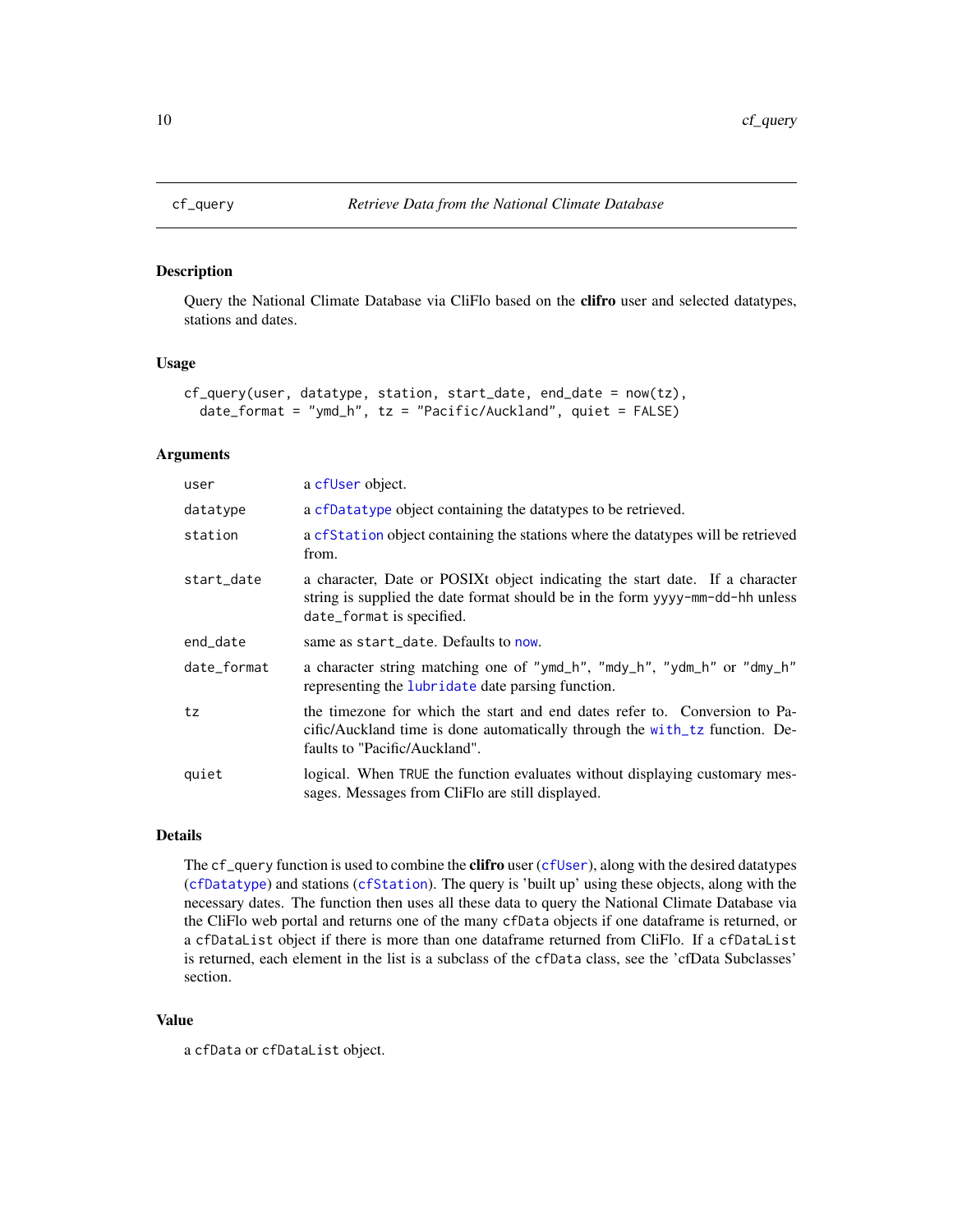<span id="page-9-1"></span><span id="page-9-0"></span>

# Description

Query the National Climate Database via CliFlo based on the clifro user and selected datatypes, stations and dates.

# Usage

```
cf_query(user, datatype, station, start_date, end_date = now(tz),
  date_format = "ymd_h", tz = "Pacific/Auckland", quiet = FALSE)
```
# Arguments

| user        | a cfUser object.                                                                                                                                                                           |
|-------------|--------------------------------------------------------------------------------------------------------------------------------------------------------------------------------------------|
| datatype    | a cfDatatype object containing the datatypes to be retrieved.                                                                                                                              |
| station     | a cf Station object containing the stations where the data types will be retrieved<br>from.                                                                                                |
| start_date  | a character, Date or POSIXt object indicating the start date. If a character<br>string is supplied the date format should be in the form yyyy-mm-dd-hh unless<br>date_format is specified. |
| end_date    | same as start_date. Defaults to now.                                                                                                                                                       |
| date_format | a character string matching one of "ymd_h", "mdy_h", "ydm_h" or "dmy_h"<br>representing the lubridate date parsing function.                                                               |
| tz          | the timezone for which the start and end dates refer to. Conversion to Pa-<br>cific/Auckland time is done automatically through the with tz function. De-<br>faults to "Pacific/Auckland". |
| quiet       | logical. When TRUE the function evaluates without displaying customary mes-<br>sages. Messages from CliFlo are still displayed.                                                            |

# Details

The cf\_query function is used to combine the **clifro** user ([cfUser](#page-4-1)), along with the desired datatypes ([cfDatatype](#page-2-1)) and stations ([cfStation](#page-3-1)). The query is 'built up' using these objects, along with the necessary dates. The function then uses all these data to query the National Climate Database via the CliFlo web portal and returns one of the many cfData objects if one dataframe is returned, or a cfDataList object if there is more than one dataframe returned from CliFlo. If a cfDataList is returned, each element in the list is a subclass of the cfData class, see the 'cfData Subclasses' section.

# Value

a cfData or cfDataList object.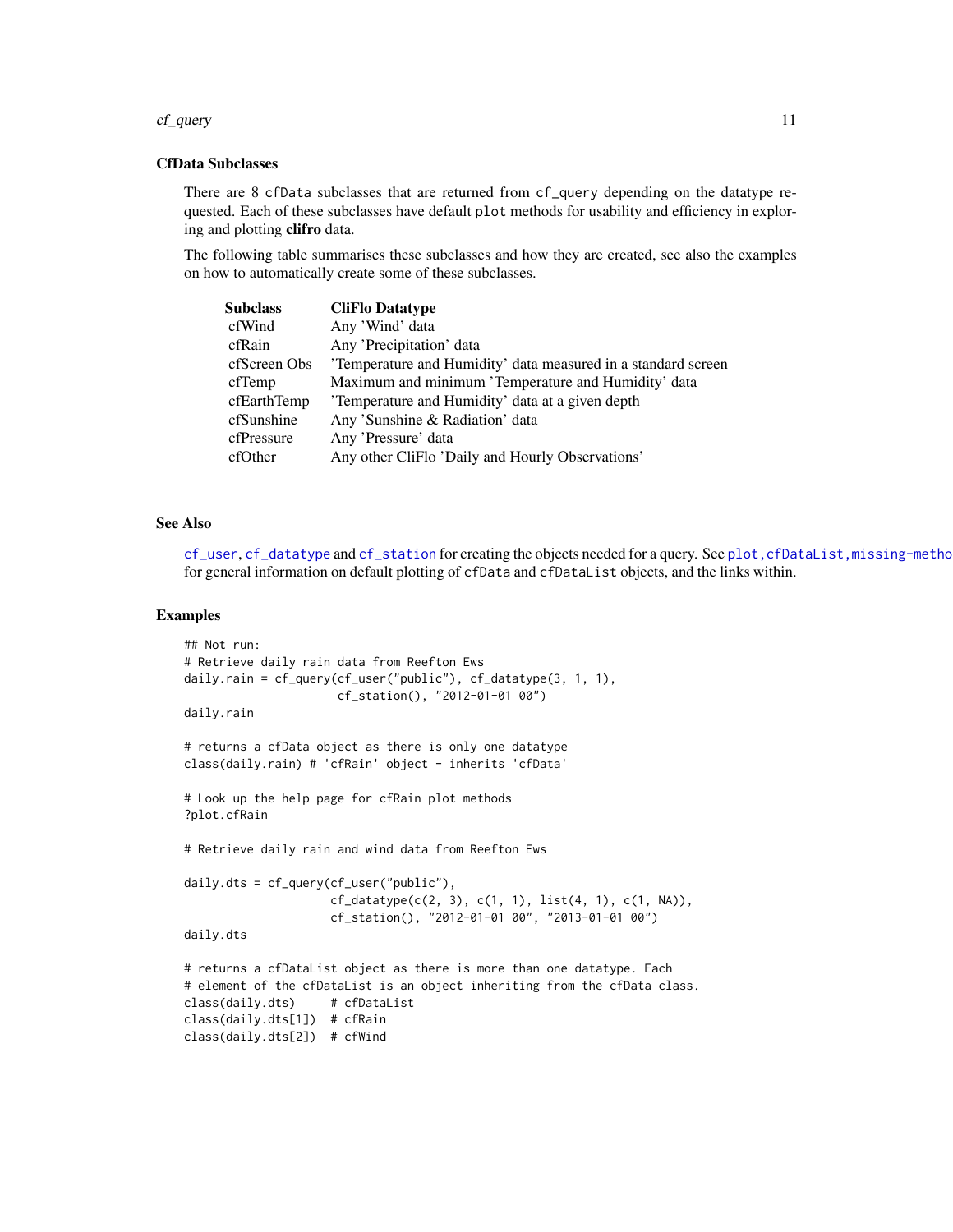#### <span id="page-10-0"></span>cf\_query 11

# CfData Subclasses

There are 8 cfData subclasses that are returned from cf\_query depending on the datatype requested. Each of these subclasses have default plot methods for usability and efficiency in exploring and plotting clifro data.

The following table summarises these subclasses and how they are created, see also the examples on how to automatically create some of these subclasses.

| Subclass     | <b>CliFlo Datatype</b>                                       |
|--------------|--------------------------------------------------------------|
| cfWind       | Any 'Wind' data                                              |
| cfRain       | Any 'Precipitation' data                                     |
| cfScreen Obs | Temperature and Humidity' data measured in a standard screen |
| cfTemp       | Maximum and minimum 'Temperature and Humidity' data          |
| cfEarthTemp  | 'Temperature and Humidity' data at a given depth             |
| cfSunshine   | Any 'Sunshine & Radiation' data                              |
| cfPressure   | Any 'Pressure' data                                          |
| cfOther      | Any other CliFlo 'Daily and Hourly Observations'             |
|              |                                                              |

# See Also

[cf\\_user](#page-4-1), [cf\\_datatype](#page-2-1) and [cf\\_station](#page-3-1) for creating the objects needed for a query. See [plot,cfDataList,missing-method](#page-0-0) for general information on default plotting of cfData and cfDataList objects, and the links within.

```
## Not run:
# Retrieve daily rain data from Reefton Ews
daily.rain = cf_query(cf_user("public"), cf_datatype(3, 1, 1),
                     cf_station(), "2012-01-01 00")
daily.rain
# returns a cfData object as there is only one datatype
class(daily.rain) # 'cfRain' object - inherits 'cfData'
# Look up the help page for cfRain plot methods
?plot.cfRain
# Retrieve daily rain and wind data from Reefton Ews
daily.dts = cf_query(cf_user("public"),
                     cf\_datatype(c(2, 3), c(1, 1), list(4, 1), c(1, NA)),cf_station(), "2012-01-01 00", "2013-01-01 00")
daily.dts
# returns a cfDataList object as there is more than one datatype. Each
# element of the cfDataList is an object inheriting from the cfData class.
class(daily.dts) # cfDataList
class(daily.dts[1]) # cfRain
class(daily.dts[2]) # cfWind
```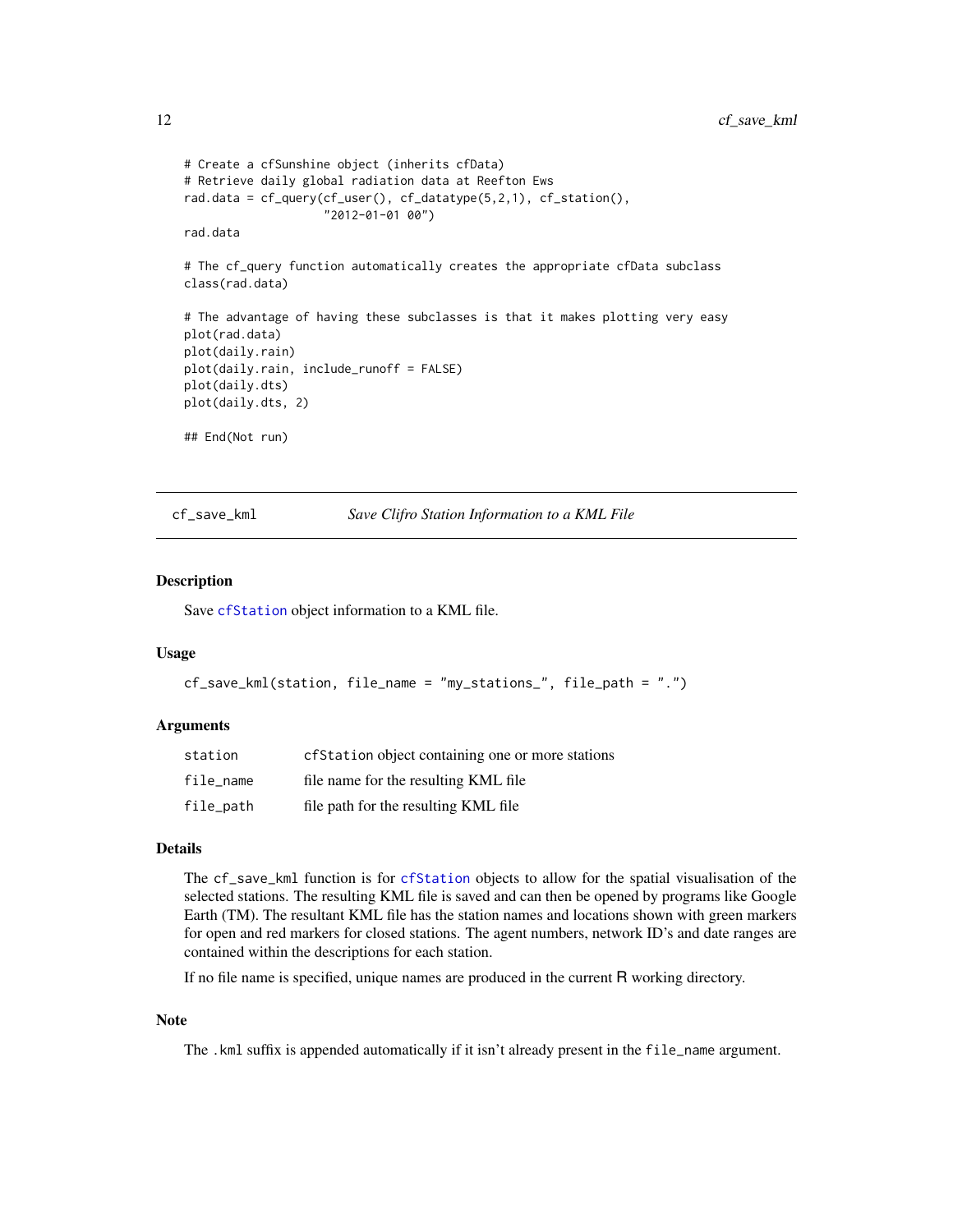```
# Create a cfSunshine object (inherits cfData)
# Retrieve daily global radiation data at Reefton Ews
rad.data = cf_query(cf_user(), cf_datatype(5,2,1), cf_station(),
                    "2012-01-01 00")
rad.data
# The cf_query function automatically creates the appropriate cfData subclass
class(rad.data)
# The advantage of having these subclasses is that it makes plotting very easy
plot(rad.data)
plot(daily.rain)
plot(daily.rain, include_runoff = FALSE)
plot(daily.dts)
plot(daily.dts, 2)
## End(Not run)
```
<span id="page-11-1"></span>cf\_save\_kml *Save Clifro Station Information to a KML File*

# Description

Save [cfStation](#page-3-1) object information to a KML file.

### Usage

```
cf_save_kml(station, file_name = "my_stations_", file_path = ".")
```
#### Arguments

| station   | cfStation object containing one or more stations |
|-----------|--------------------------------------------------|
| file name | file name for the resulting KML file             |
| file_path | file path for the resulting KML file             |

#### Details

The cf\_save\_kml function is for [cfStation](#page-3-1) objects to allow for the spatial visualisation of the selected stations. The resulting KML file is saved and can then be opened by programs like Google Earth (TM). The resultant KML file has the station names and locations shown with green markers for open and red markers for closed stations. The agent numbers, network ID's and date ranges are contained within the descriptions for each station.

If no file name is specified, unique names are produced in the current R working directory.

# Note

The .kml suffix is appended automatically if it isn't already present in the file\_name argument.

<span id="page-11-0"></span>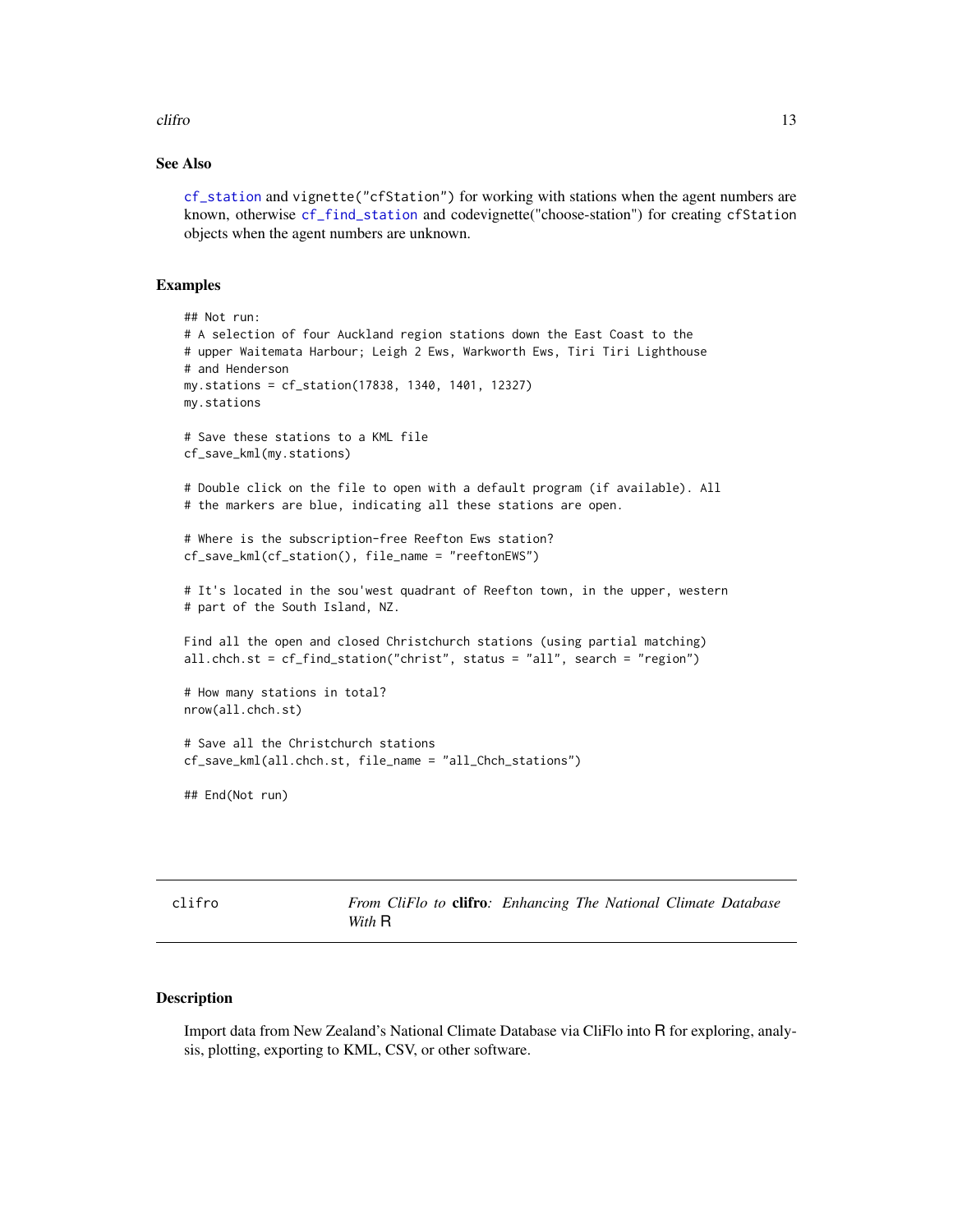#### <span id="page-12-0"></span>clifro that the contract of the contract of the contract of the contract of the contract of the contract of the contract of the contract of the contract of the contract of the contract of the contract of the contract of th

# See Also

[cf\\_station](#page-3-1) and vignette("cfStation") for working with stations when the agent numbers are known, otherwise [cf\\_find\\_station](#page-6-1) and codevignette("choose-station") for creating cfStation objects when the agent numbers are unknown.

# Examples

```
## Not run:
# A selection of four Auckland region stations down the East Coast to the
# upper Waitemata Harbour; Leigh 2 Ews, Warkworth Ews, Tiri Tiri Lighthouse
# and Henderson
my.stations = cf_station(17838, 1340, 1401, 12327)
my.stations
# Save these stations to a KML file
cf_save_kml(my.stations)
# Double click on the file to open with a default program (if available). All
# the markers are blue, indicating all these stations are open.
# Where is the subscription-free Reefton Ews station?
cf_save_kml(cf_station(), file_name = "reeftonEWS")
# It's located in the sou'west quadrant of Reefton town, in the upper, western
# part of the South Island, NZ.
Find all the open and closed Christchurch stations (using partial matching)
all.chch.st = cf_find_station("christ", status = "all", search = "region")
# How many stations in total?
nrow(all.chch.st)
# Save all the Christchurch stations
cf_save_kml(all.chch.st, file_name = "all_Chch_stations")
## End(Not run)
```
clifro *From CliFlo to* clifro*: Enhancing The National Climate Database With* R

### Description

Import data from New Zealand's National Climate Database via CliFlo into R for exploring, analysis, plotting, exporting to KML, CSV, or other software.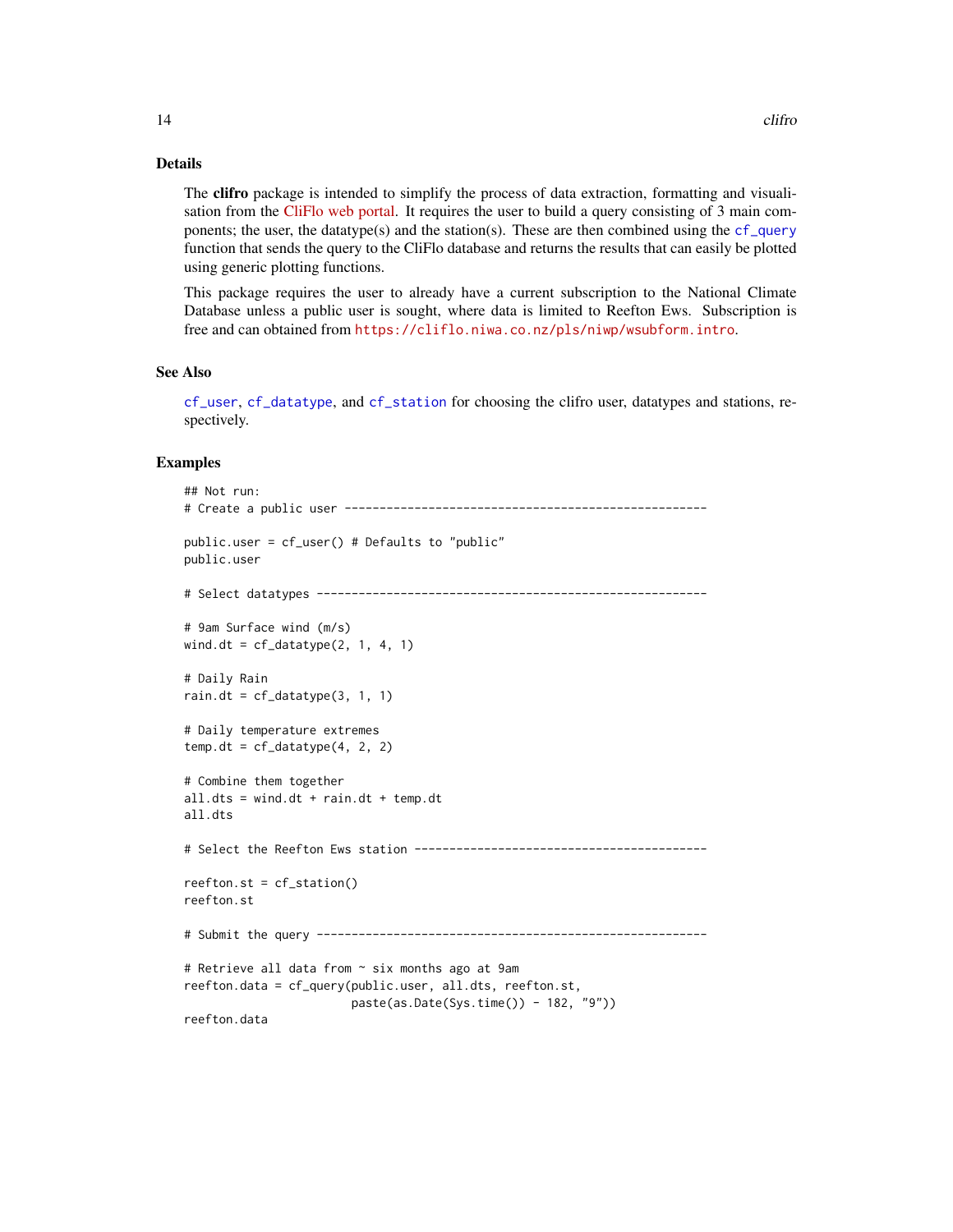# Details

The clifro package is intended to simplify the process of data extraction, formatting and visualisation from the [CliFlo web portal.](https://cliflo.niwa.co.nz/) It requires the user to build a query consisting of 3 main components; the user, the datatype(s) and the station(s). These are then combined using the  $cf_{query}$ function that sends the query to the CliFlo database and returns the results that can easily be plotted using generic plotting functions.

This package requires the user to already have a current subscription to the National Climate Database unless a public user is sought, where data is limited to Reefton Ews. Subscription is free and can obtained from <https://cliflo.niwa.co.nz/pls/niwp/wsubform.intro>.

# See Also

[cf\\_user](#page-4-1), [cf\\_datatype](#page-2-1), and [cf\\_station](#page-3-1) for choosing the clifro user, datatypes and stations, respectively.

```
## Not run:
# Create a public user ----------------------------------------------------
public.user = cf_user() # Defaults to "public"
public.user
# Select datatypes --------------------------------------------------------
# 9am Surface wind (m/s)
wind.dt = cf_datatype(2, 1, 4, 1)# Daily Rain
rain.dt = cf_datatype(3, 1, 1)
# Daily temperature extremes
temp.dt = cf_datatype(4, 2, 2)# Combine them together
all.dts = wind.dt + rain.dt + temp.dt
all.dts
# Select the Reefton Ews station ------------------------------------------
reefton.st = cf_station()
reefton.st
# Submit the query --------------------------------------------------------
# Retrieve all data from ~ six months ago at 9am
reefton.data = cf_query(public.user, all.dts, reefton.st,
                       paste(as.Date(Sys.time()) - 182, "9"))
reefton.data
```
<span id="page-13-0"></span>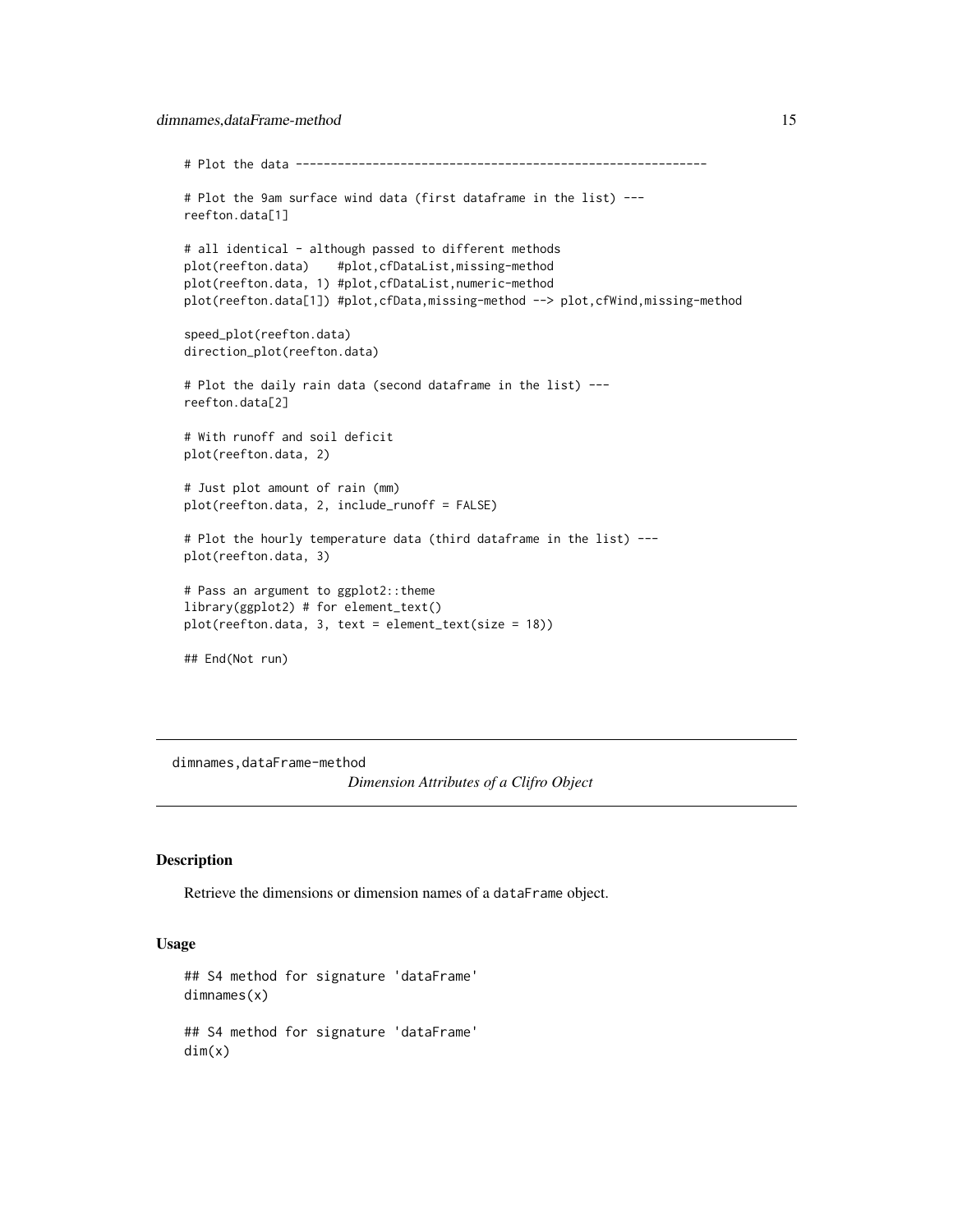```
# Plot the data -----------------------------------------------------------
# Plot the 9am surface wind data (first dataframe in the list) ---
reefton.data[1]
# all identical - although passed to different methods
plot(reefton.data) #plot,cfDataList,missing-method
plot(reefton.data, 1) #plot,cfDataList,numeric-method
plot(reefton.data[1]) #plot,cfData,missing-method --> plot,cfWind,missing-method
speed_plot(reefton.data)
direction_plot(reefton.data)
# Plot the daily rain data (second dataframe in the list) ---
reefton.data[2]
# With runoff and soil deficit
plot(reefton.data, 2)
# Just plot amount of rain (mm)
plot(reefton.data, 2, include_runoff = FALSE)
# Plot the hourly temperature data (third dataframe in the list) ---
plot(reefton.data, 3)
# Pass an argument to ggplot2::theme
library(ggplot2) # for element_text()
plot(reefton.data, 3, text = element_text(size = 18))
## End(Not run)
```
dimnames,dataFrame-method

*Dimension Attributes of a Clifro Object*

#### Description

Retrieve the dimensions or dimension names of a dataFrame object.

#### Usage

```
## S4 method for signature 'dataFrame'
dimnames(x)
## S4 method for signature 'dataFrame'
dim(x)
```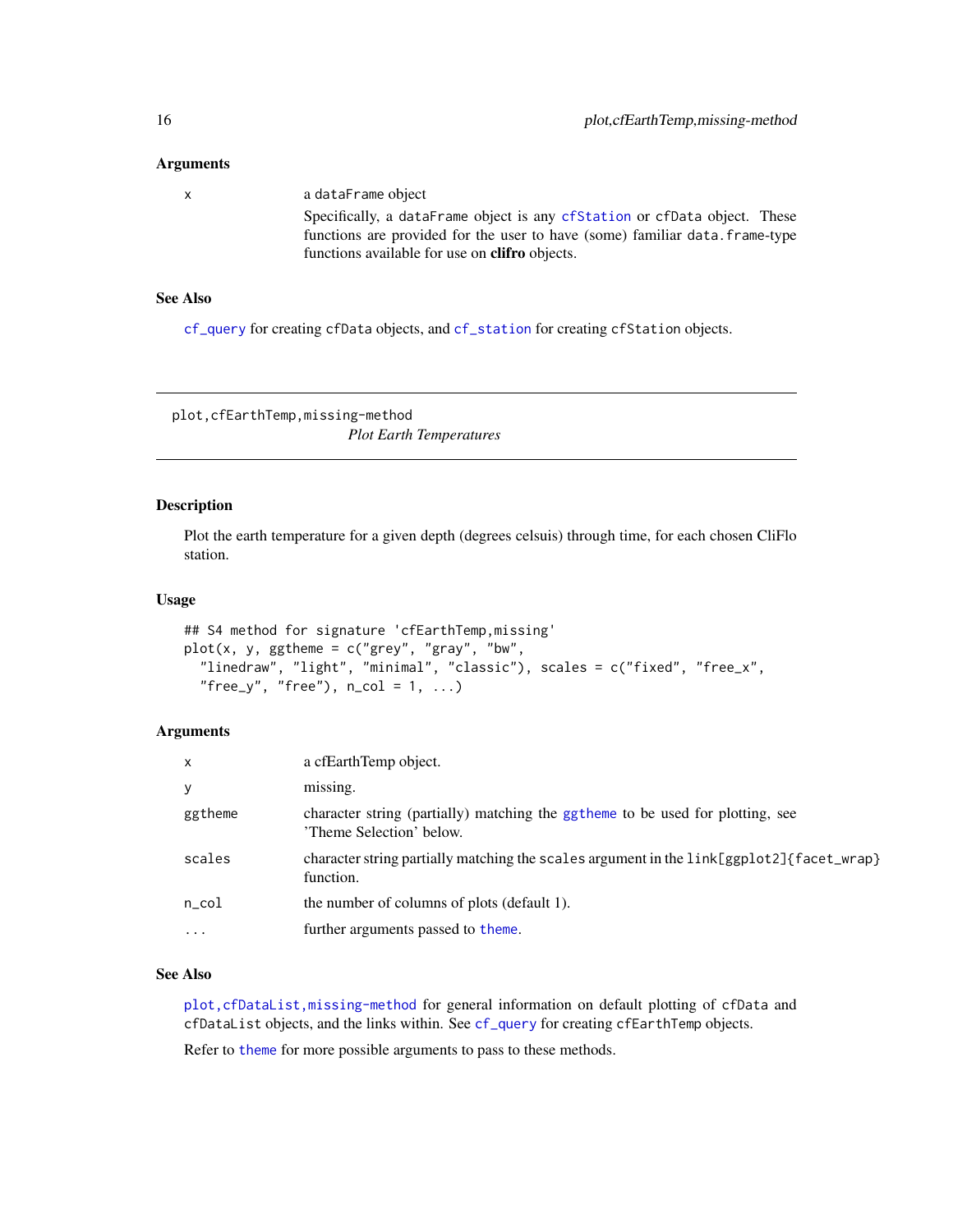#### <span id="page-15-0"></span>Arguments

| X | a dataFrame object                                                           |
|---|------------------------------------------------------------------------------|
|   | Specifically, a dataFrame object is any cfStation or cfData object. These    |
|   | functions are provided for the user to have (some) familiar data. frame-type |
|   | functions available for use on <b>clifro</b> objects.                        |

# See Also

[cf\\_query](#page-9-1) for creating cfData objects, and [cf\\_station](#page-3-1) for creating cfStation objects.

plot,cfEarthTemp,missing-method

*Plot Earth Temperatures*

# <span id="page-15-1"></span>Description

Plot the earth temperature for a given depth (degrees celsuis) through time, for each chosen CliFlo station.

# Usage

```
## S4 method for signature 'cfEarthTemp,missing'
plot(x, y, ggthene = c("grey", "gray", "bw","linedraw", "light", "minimal", "classic"), scales = c("fixed", "free_x",
  "free_y", "free"), n_{col} = 1, ...
```
# Arguments

| X          | a cfEarthTemp object.                                                                                      |
|------------|------------------------------------------------------------------------------------------------------------|
| у          | missing.                                                                                                   |
| ggtheme    | character string (partially) matching the ggtheme to be used for plotting, see<br>'Theme Selection' below. |
| scales     | character string partially matching the scales argument in the link[ggplot2]{facet_wrap}<br>function.      |
| $n\_{col}$ | the number of columns of plots (default 1).                                                                |
| $\cdots$   | further arguments passed to theme.                                                                         |

# See Also

[plot,cfDataList,missing-method](#page-0-0) for general information on default plotting of cfData and cfDataList objects, and the links within. See [cf\\_query](#page-9-1) for creating cfEarthTemp objects.

Refer to [theme](#page-0-0) for more possible arguments to pass to these methods.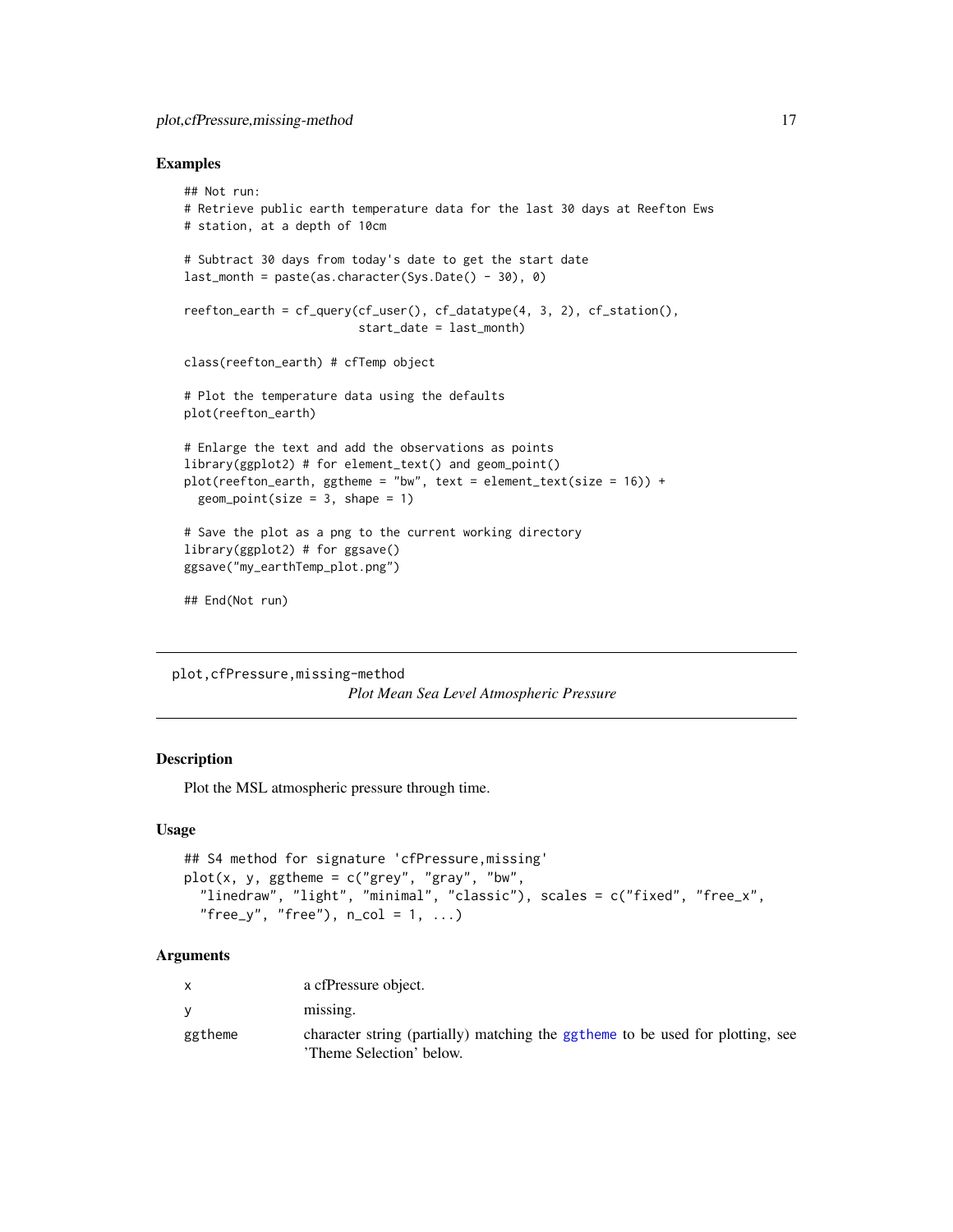# <span id="page-16-0"></span>plot,cfPressure,missing-method 17

#### Examples

```
## Not run:
# Retrieve public earth temperature data for the last 30 days at Reefton Ews
# station, at a depth of 10cm
# Subtract 30 days from today's date to get the start date
last_month = paste(as.character(Sys.Date() - 30), 0)
reefton_earth = cf_query(cf_user(), cf_datatype(4, 3, 2), cf_station(),
                         start_date = last_month)
class(reefton_earth) # cfTemp object
# Plot the temperature data using the defaults
plot(reefton_earth)
# Enlarge the text and add the observations as points
library(ggplot2) # for element_text() and geom_point()
plot(reefton\_earth, ggtheme = "bw", text = element\_text(size = 16)) +geom\_point(size = 3, shape = 1)# Save the plot as a png to the current working directory
library(ggplot2) # for ggsave()
ggsave("my_earthTemp_plot.png")
## End(Not run)
```
plot,cfPressure,missing-method *Plot Mean Sea Level Atmospheric Pressure*

# <span id="page-16-1"></span>Description

Plot the MSL atmospheric pressure through time.

# Usage

```
## S4 method for signature 'cfPressure,missing'
plot(x, y, ggthene = c("grey", "gray", "bw","linedraw", "light", "minimal", "classic"), scales = c("fixed", "free_x",
  "free_y", "free"), n_{col} = 1, ...
```
# Arguments

|         | a cfPressure object.                                                                                       |
|---------|------------------------------------------------------------------------------------------------------------|
|         | missing.                                                                                                   |
| ggtheme | character string (partially) matching the ggtheme to be used for plotting, see<br>'Theme Selection' below. |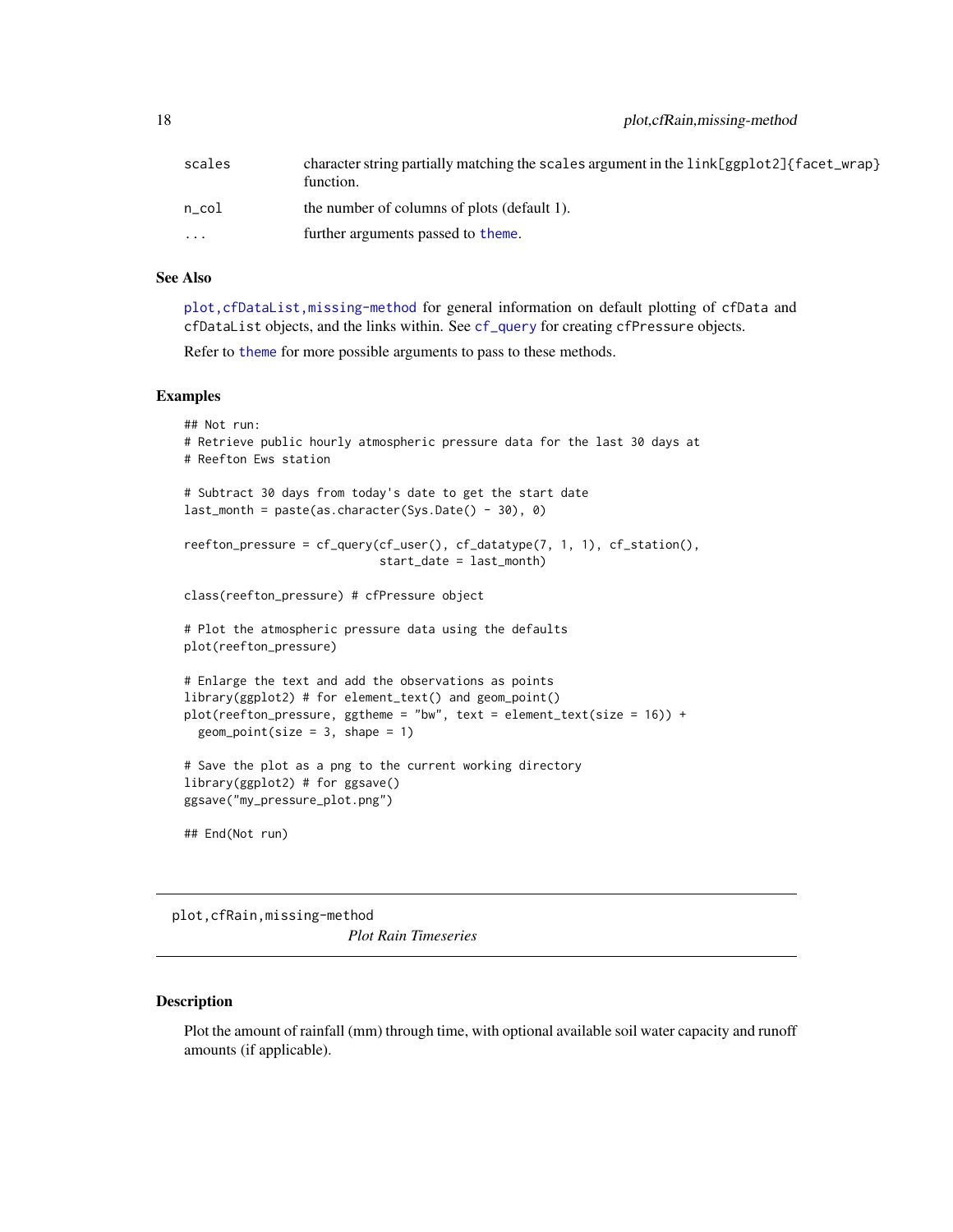<span id="page-17-0"></span>

| scales                  | character string partially matching the scales argument in the $link[ggplot2]$ facet_wrap }<br>function. |
|-------------------------|----------------------------------------------------------------------------------------------------------|
| n col                   | the number of columns of plots (default 1).                                                              |
| $\cdot$ $\cdot$ $\cdot$ | further arguments passed to theme.                                                                       |

# See Also

[plot,cfDataList,missing-method](#page-0-0) for general information on default plotting of cfData and cfDataList objects, and the links within. See [cf\\_query](#page-9-1) for creating cfPressure objects.

Refer to [theme](#page-0-0) for more possible arguments to pass to these methods.

#### Examples

```
## Not run:
# Retrieve public hourly atmospheric pressure data for the last 30 days at
# Reefton Ews station
# Subtract 30 days from today's date to get the start date
last_month = paste(as.character(Sys.Date() - 30), 0)
reefton_pressure = cf_query(cf_user(), cf_datatype(7, 1, 1), cf_station(),
                            start_date = last_month)
class(reefton_pressure) # cfPressure object
# Plot the atmospheric pressure data using the defaults
plot(reefton_pressure)
# Enlarge the text and add the observations as points
library(ggplot2) # for element_text() and geom_point()
plot(reefton_pressure, ggtheme = "bw", text = element_test(size = 16)) +geom\_point(size = 3, shape = 1)# Save the plot as a png to the current working directory
library(ggplot2) # for ggsave()
ggsave("my_pressure_plot.png")
## End(Not run)
```
plot,cfRain,missing-method

*Plot Rain Timeseries*

# <span id="page-17-1"></span>Description

Plot the amount of rainfall (mm) through time, with optional available soil water capacity and runoff amounts (if applicable).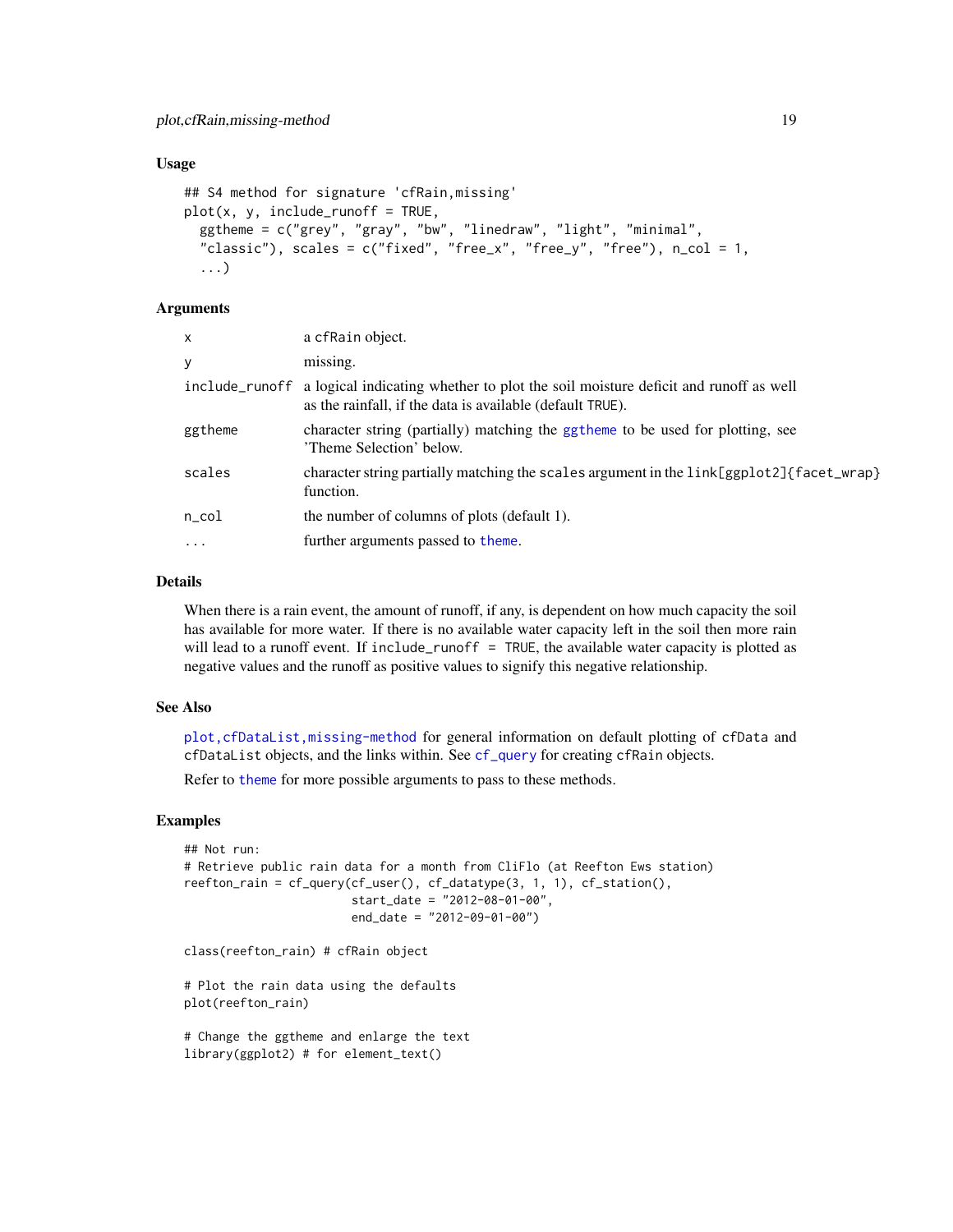#### <span id="page-18-0"></span>Usage

```
## S4 method for signature 'cfRain,missing'
plot(x, y, include_runoff = TRUE,ggtheme = c("grey", "gray", "bw", "linedraw", "light", "minimal",
  "classic"), scales = c("fixed", "free_x", "free_y", "free"), n_{col} = 1,
  ...)
```
# Arguments

| x         | a cfRain object.                                                                                                                                              |
|-----------|---------------------------------------------------------------------------------------------------------------------------------------------------------------|
| у         | missing.                                                                                                                                                      |
|           | include_runoff a logical indicating whether to plot the soil moisture deficit and runoff as well<br>as the rainfall, if the data is available (default TRUE). |
| ggtheme   | character string (partially) matching the ggtheme to be used for plotting, see<br>'Theme Selection' below.                                                    |
| scales    | character string partially matching the scales argument in the link[ggplot2]{facet_wrap}<br>function.                                                         |
| n col     | the number of columns of plots (default 1).                                                                                                                   |
| $\ddotsc$ | further arguments passed to theme.                                                                                                                            |
|           |                                                                                                                                                               |

#### Details

When there is a rain event, the amount of runoff, if any, is dependent on how much capacity the soil has available for more water. If there is no available water capacity left in the soil then more rain will lead to a runoff event. If include\_runoff = TRUE, the available water capacity is plotted as negative values and the runoff as positive values to signify this negative relationship.

#### See Also

[plot,cfDataList,missing-method](#page-0-0) for general information on default plotting of cfData and cfDataList objects, and the links within. See [cf\\_query](#page-9-1) for creating cfRain objects.

Refer to [theme](#page-0-0) for more possible arguments to pass to these methods.

# Examples

```
## Not run:
# Retrieve public rain data for a month from CliFlo (at Reefton Ews station)
reefton_rain = cf_query(cf_user(), cf_datatype(3, 1, 1), cf_station(),
                        start_date = "2012-08-01-00",
                        end_date = "2012-09-01-00")
```
class(reefton\_rain) # cfRain object

# Plot the rain data using the defaults plot(reefton\_rain)

# Change the ggtheme and enlarge the text library(ggplot2) # for element\_text()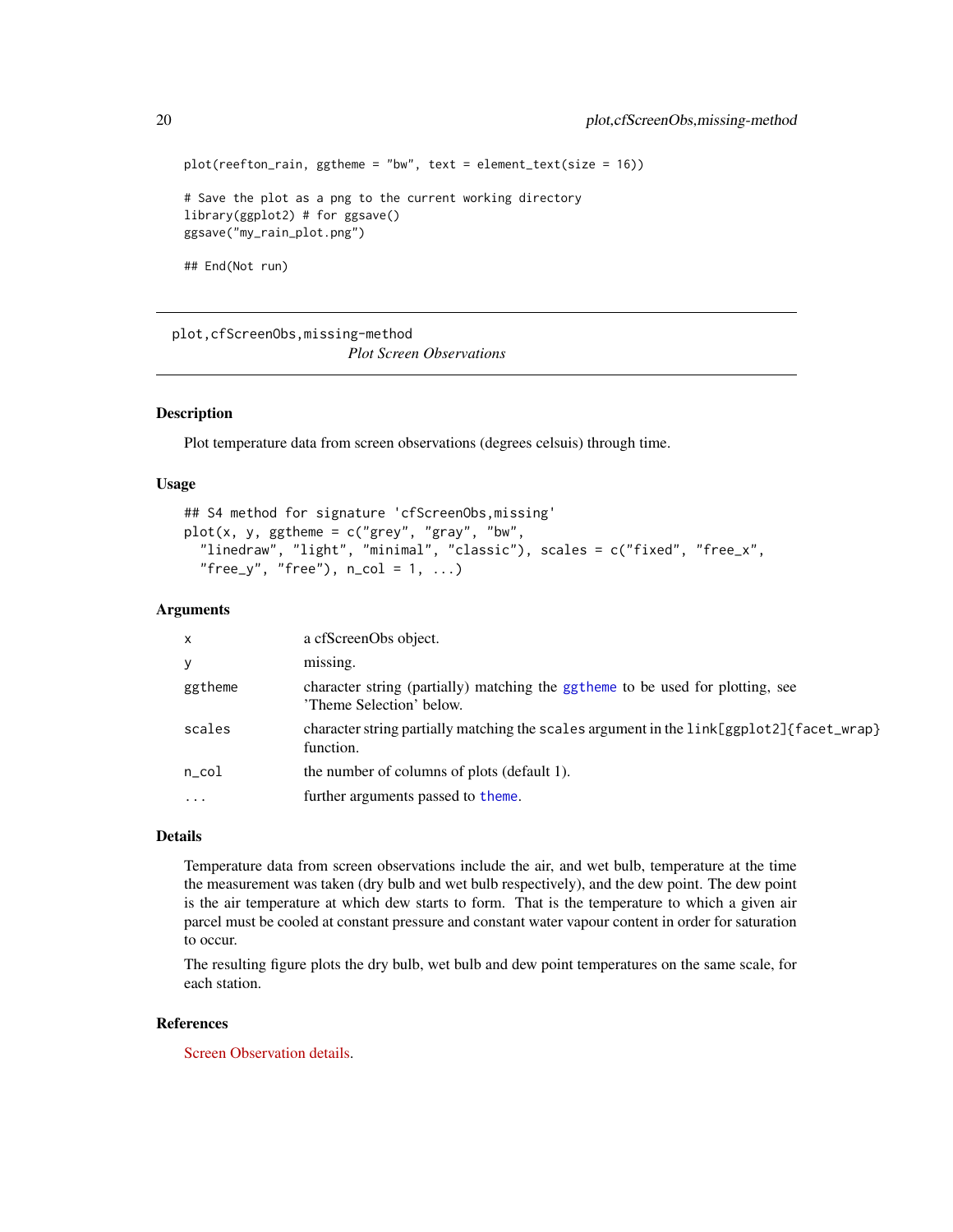```
plot(reefton\_rain, ggtheme = "bw", text = element\_text(size = 16))# Save the plot as a png to the current working directory
library(ggplot2) # for ggsave()
ggsave("my_rain_plot.png")
## End(Not run)
```
plot,cfScreenObs,missing-method *Plot Screen Observations*

# <span id="page-19-1"></span>Description

Plot temperature data from screen observations (degrees celsuis) through time.

#### Usage

```
## S4 method for signature 'cfScreenObs,missing'
plot(x, y, ggthen = c("grey", "gray", "bw","linedraw", "light", "minimal", "classic"), scales = c("fixed", "free_x",
  "free_y", "free"), n_{col} = 1, ...
```
#### Arguments

| $\mathsf{x}$      | a cfScreenObs object.                                                                                      |
|-------------------|------------------------------------------------------------------------------------------------------------|
| y                 | missing.                                                                                                   |
| ggtheme           | character string (partially) matching the ggtheme to be used for plotting, see<br>'Theme Selection' below. |
| scales            | character string partially matching the scales argument in the link[ggplot2]{facet_wrap}<br>function.      |
| $n\_{col}$        | the number of columns of plots (default 1).                                                                |
| $\cdot\cdot\cdot$ | further arguments passed to theme.                                                                         |

#### Details

Temperature data from screen observations include the air, and wet bulb, temperature at the time the measurement was taken (dry bulb and wet bulb respectively), and the dew point. The dew point is the air temperature at which dew starts to form. That is the temperature to which a given air parcel must be cooled at constant pressure and constant water vapour content in order for saturation to occur.

The resulting figure plots the dry bulb, wet bulb and dew point temperatures on the same scale, for each station.

# References

[Screen Observation details.](https://cliflo.niwa.co.nz/pls/niwp/wh.do_help?id=ls_scr1)

<span id="page-19-0"></span>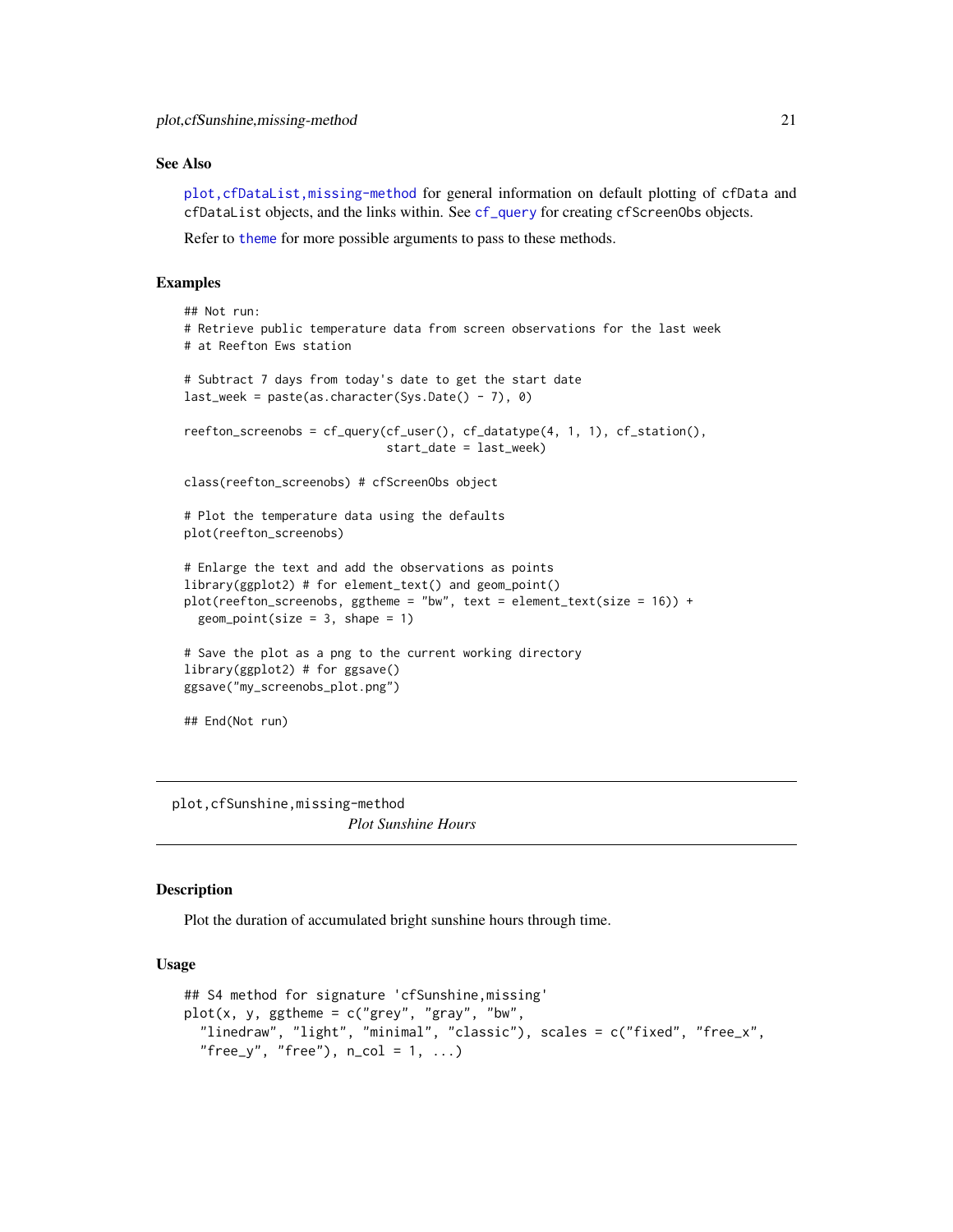# <span id="page-20-0"></span>See Also

[plot,cfDataList,missing-method](#page-0-0) for general information on default plotting of cfData and cfDataList objects, and the links within. See [cf\\_query](#page-9-1) for creating cfScreenObs objects.

Refer to [theme](#page-0-0) for more possible arguments to pass to these methods.

# Examples

```
## Not run:
# Retrieve public temperature data from screen observations for the last week
# at Reefton Ews station
# Subtract 7 days from today's date to get the start date
last_week = paste(as.character(Sys.Date() - 7), 0)
reefton\_screenobs = cf\_query(cf\_user(), cf\_datotype(4, 1, 1), cf\_station(),start_date = last_week)
class(reefton_screenobs) # cfScreenObs object
# Plot the temperature data using the defaults
plot(reefton_screenobs)
# Enlarge the text and add the observations as points
library(ggplot2) # for element_text() and geom_point()
plot(reefton_screenobs, ggtheme = "bw", text = element_test(size = 16)) +geom\_point(size = 3, shape = 1)# Save the plot as a png to the current working directory
library(ggplot2) # for ggsave()
ggsave("my_screenobs_plot.png")
## End(Not run)
```
plot,cfSunshine,missing-method *Plot Sunshine Hours*

# <span id="page-20-1"></span>Description

Plot the duration of accumulated bright sunshine hours through time.

#### Usage

```
## S4 method for signature 'cfSunshine,missing'
plot(x, y, ggthen = c("grey", "gray", "bw","linedraw", "light", "minimal", "classic"), scales = c("fixed", "free_x",
  "free_y", "free"), n_{col} = 1, ...
```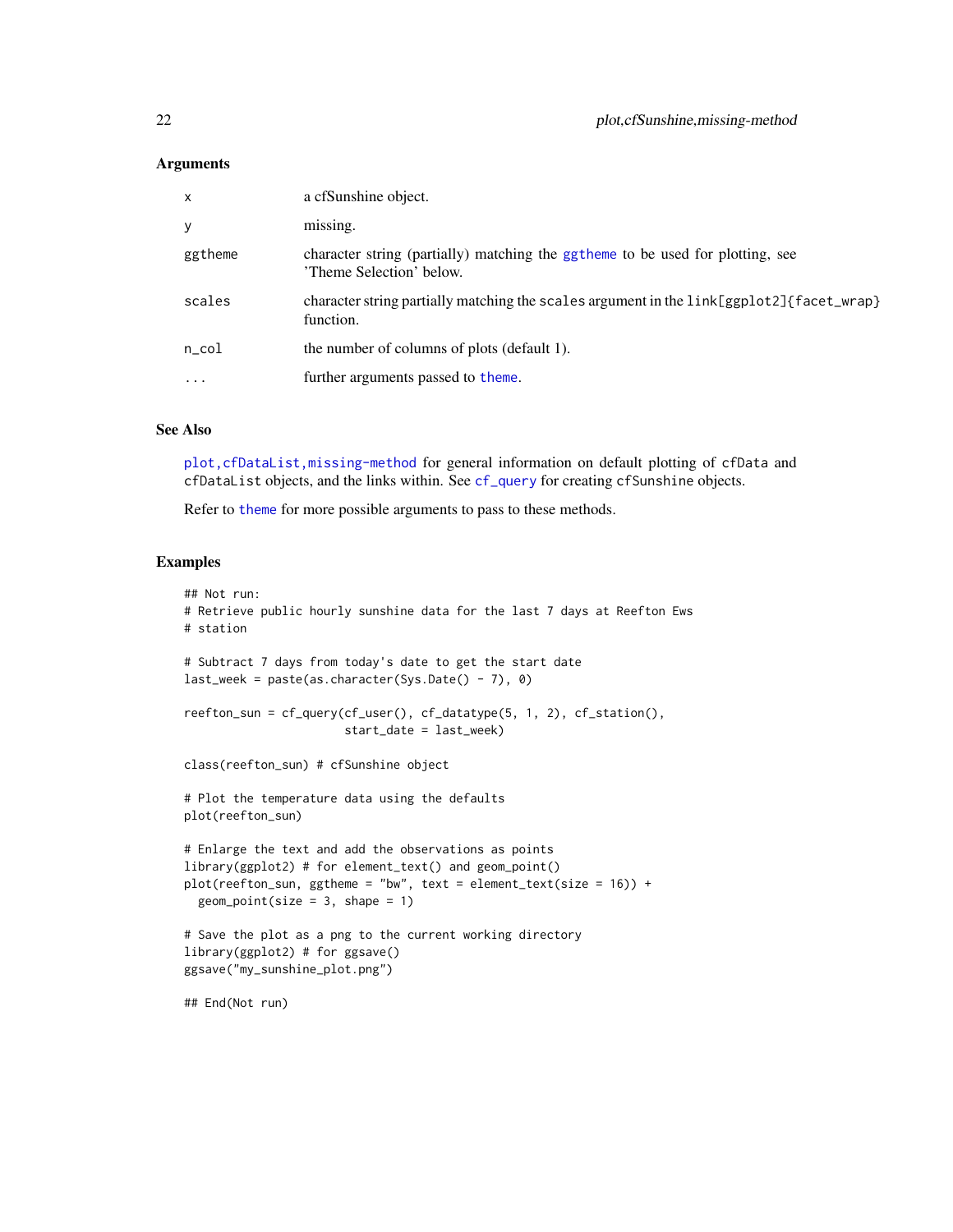# <span id="page-21-0"></span>**Arguments**

| $\mathsf{x}$ | a cfSunshine object.                                                                                       |
|--------------|------------------------------------------------------------------------------------------------------------|
| y            | missing.                                                                                                   |
| ggtheme      | character string (partially) matching the ggtheme to be used for plotting, see<br>'Theme Selection' below. |
| scales       | character string partially matching the scales argument in the link[ggplot2]{facet_wrap}<br>function.      |
| $n\_{col}$   | the number of columns of plots (default 1).                                                                |
| $\cdot$      | further arguments passed to theme.                                                                         |
|              |                                                                                                            |

### See Also

[plot,cfDataList,missing-method](#page-0-0) for general information on default plotting of cfData and cfDataList objects, and the links within. See [cf\\_query](#page-9-1) for creating cfSunshine objects.

Refer to [theme](#page-0-0) for more possible arguments to pass to these methods.

```
## Not run:
# Retrieve public hourly sunshine data for the last 7 days at Reefton Ews
# station
# Subtract 7 days from today's date to get the start date
last_week = paste(as.character(Sys.Date() - 7), 0)
reefton_sun = cf_query(cf_user(), cf_datatype(5, 1, 2), cf_station(),
                       start_date = last_week)
class(reefton_sun) # cfSunshine object
# Plot the temperature data using the defaults
plot(reefton_sun)
# Enlarge the text and add the observations as points
library(ggplot2) # for element_text() and geom_point()
plot(reefton\_sun, ggtheme = "bw", text = element\_text(size = 16)) +geom\_point(size = 3, shape = 1)# Save the plot as a png to the current working directory
library(ggplot2) # for ggsave()
ggsave("my_sunshine_plot.png")
## End(Not run)
```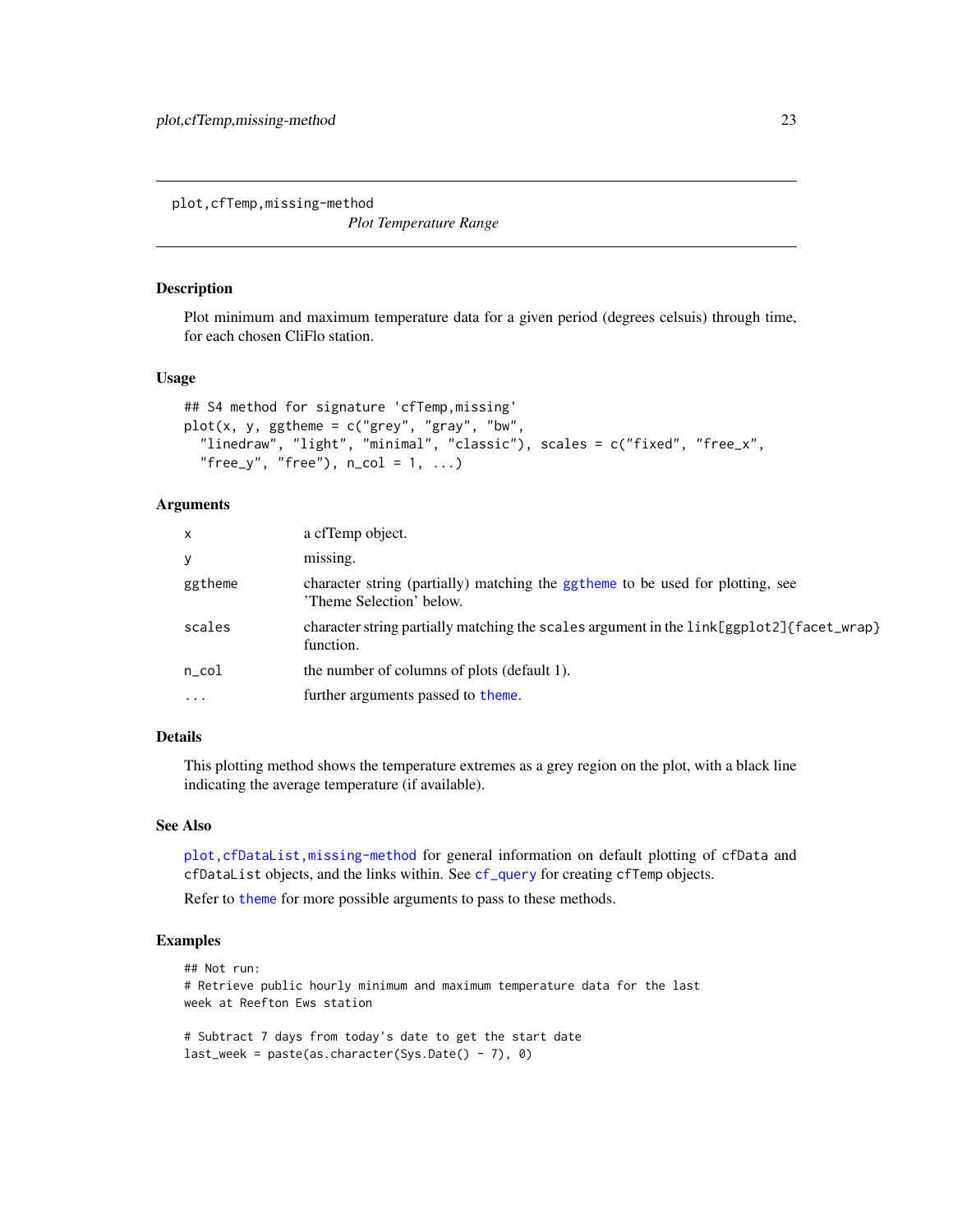<span id="page-22-0"></span>plot,cfTemp,missing-method

*Plot Temperature Range*

#### <span id="page-22-1"></span>Description

Plot minimum and maximum temperature data for a given period (degrees celsuis) through time, for each chosen CliFlo station.

#### Usage

```
## S4 method for signature 'cfTemp,missing'
plot(x, y, ggthene = c("grey", "gray", "bw","linedraw", "light", "minimal", "classic"), scales = c("fixed", "free_x",
  "free_y", "free"), n_{col} = 1, ...
```
# Arguments

| $\mathsf{x}$ | a cfTemp object.                                                                                           |
|--------------|------------------------------------------------------------------------------------------------------------|
| У            | missing.                                                                                                   |
| ggtheme      | character string (partially) matching the ggtheme to be used for plotting, see<br>'Theme Selection' below. |
| scales       | character string partially matching the scales argument in the link[ggplot2]{facet_wrap}<br>function.      |
| $n\_{col}$   | the number of columns of plots (default 1).                                                                |
| $\cdot$      | further arguments passed to theme.                                                                         |
|              |                                                                                                            |

# Details

This plotting method shows the temperature extremes as a grey region on the plot, with a black line indicating the average temperature (if available).

#### See Also

[plot,cfDataList,missing-method](#page-0-0) for general information on default plotting of cfData and cfDataList objects, and the links within. See [cf\\_query](#page-9-1) for creating cfTemp objects.

Refer to [theme](#page-0-0) for more possible arguments to pass to these methods.

```
## Not run:
# Retrieve public hourly minimum and maximum temperature data for the last
week at Reefton Ews station
# Subtract 7 days from today's date to get the start date
```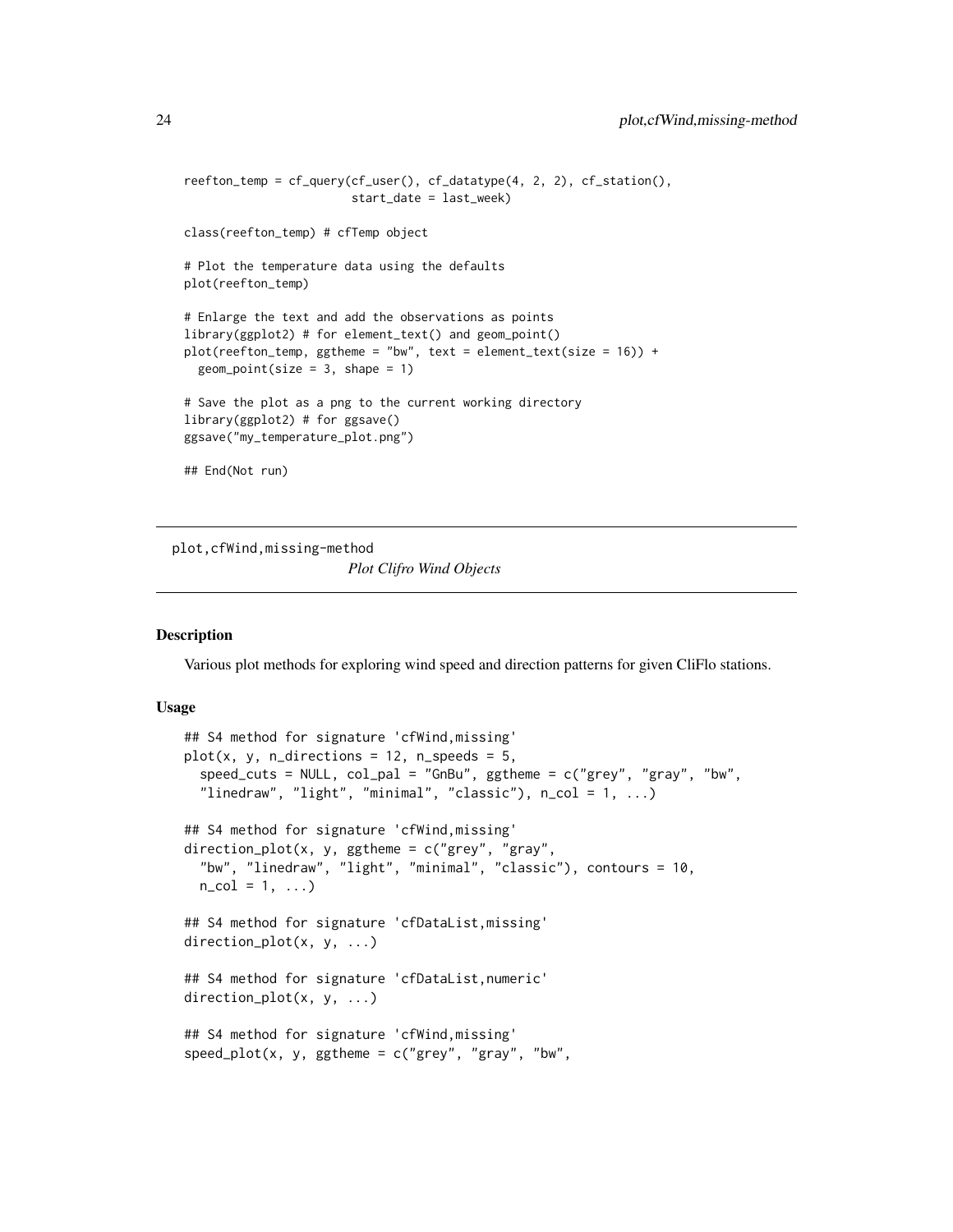```
reefton_temp = cf_query(cf_user(), cf_datatype(4, 2, 2), cf_station(),
                        start_date = last_week)
class(reefton_temp) # cfTemp object
# Plot the temperature data using the defaults
plot(reefton_temp)
# Enlarge the text and add the observations as points
library(ggplot2) # for element_text() and geom_point()
plot(reefton_temp, ggtheme = "bw", text = element_text(size = 16)) +
 geom\_point(size = 3, shape = 1)# Save the plot as a png to the current working directory
library(ggplot2) # for ggsave()
ggsave("my_temperature_plot.png")
## End(Not run)
```
plot,cfWind,missing-method *Plot Clifro Wind Objects*

# <span id="page-23-1"></span>**Description**

Various plot methods for exploring wind speed and direction patterns for given CliFlo stations.

# Usage

```
## S4 method for signature 'cfWind,missing'
plot(x, y, n_directions = 12, n_sspeed\_cuts = NULL, col\_pal = "GnBu", ggtheme = c("grey", "gray", "bw","linedraw", "light", "minimal", "classic"), n_{col} = 1, ...## S4 method for signature 'cfWind,missing'
direction_plot(x, y, ggtheme = c("grey", "gray","bw", "linedraw", "light", "minimal", "classic"), contours = 10,
 n_{col} = 1, ...## S4 method for signature 'cfDataList,missing'
direction_plot(x, y, ...)
## S4 method for signature 'cfDataList,numeric'
direction_plot(x, y, ...)
## S4 method for signature 'cfWind,missing'
speed\_plot(x, y, ggthen) = c("grey", "gray", "bw",
```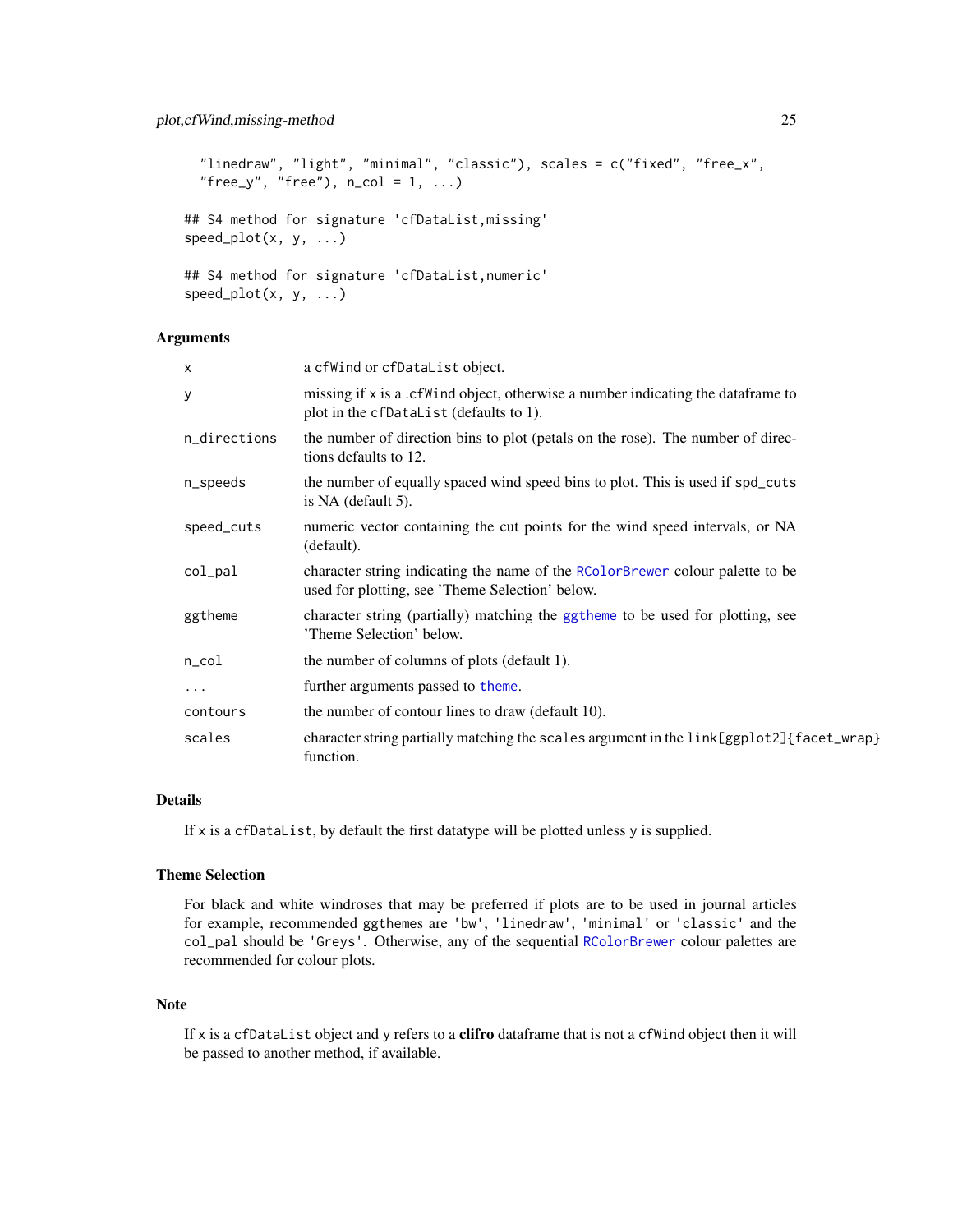```
"linedraw", "light", "minimal", "classic"), scales = c("fixed", "free_x",
  "free_y", "free"), n_{col} = 1, ...## S4 method for signature 'cfDataList,missing'
speed_plot(x, y, ...)
## S4 method for signature 'cfDataList,numeric'
speed\_plot(x, y, ...)
```
# Arguments

| $\boldsymbol{\mathsf{x}}$ | a cfWind or cfDataList object.                                                                                                   |
|---------------------------|----------------------------------------------------------------------------------------------------------------------------------|
| У                         | missing if x is a .cf Wind object, otherwise a number indicating the data frame to<br>plot in the cfDataList (defaults to 1).    |
| n_directions              | the number of direction bins to plot (petals on the rose). The number of direc-<br>tions defaults to 12.                         |
| n_speeds                  | the number of equally spaced wind speed bins to plot. This is used if spd_cuts<br>is NA (default 5).                             |
| speed_cuts                | numeric vector containing the cut points for the wind speed intervals, or NA<br>(default).                                       |
| col_pal                   | character string indicating the name of the RColorBrewer colour palette to be<br>used for plotting, see 'Theme Selection' below. |
| ggtheme                   | character string (partially) matching the ggtheme to be used for plotting, see<br>'Theme Selection' below.                       |
| $n_{\rm \perp}$ col       | the number of columns of plots (default 1).                                                                                      |
| $\cdots$                  | further arguments passed to theme.                                                                                               |
| contours                  | the number of contour lines to draw (default 10).                                                                                |
| scales                    | character string partially matching the scales argument in the link[ggplot2]{facet_wrap}<br>function.                            |

# Details

If x is a cfDataList, by default the first datatype will be plotted unless y is supplied.

# Theme Selection

For black and white windroses that may be preferred if plots are to be used in journal articles for example, recommended ggthemes are 'bw', 'linedraw', 'minimal' or 'classic' and the col\_pal should be 'Greys'. Otherwise, any of the sequential [RColorBrewer](#page-0-0) colour palettes are recommended for colour plots.

# Note

If x is a cfDataList object and y refers to a **clifro** dataframe that is not a cfWind object then it will be passed to another method, if available.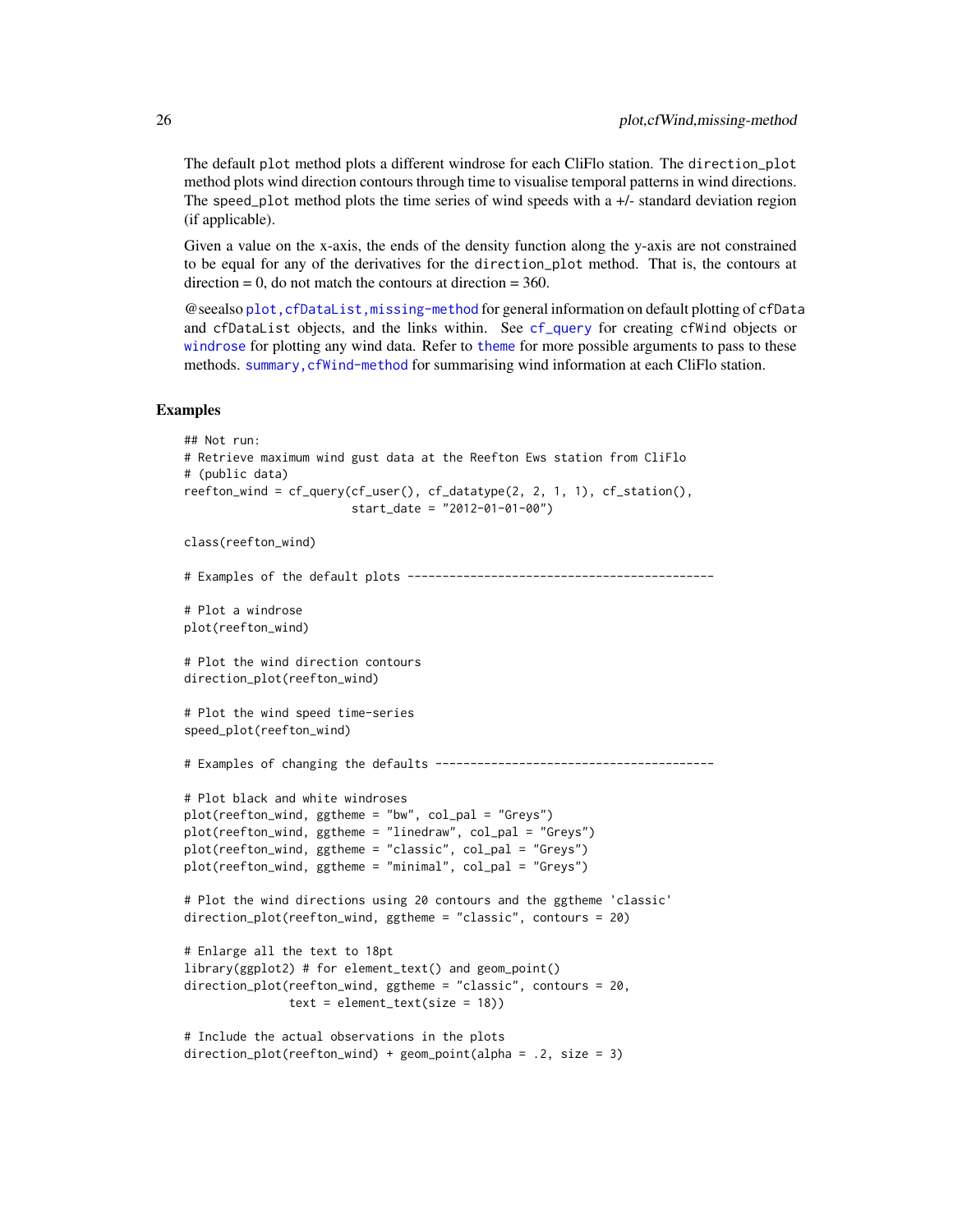<span id="page-25-0"></span>The default plot method plots a different windrose for each CliFlo station. The direction\_plot method plots wind direction contours through time to visualise temporal patterns in wind directions. The speed\_plot method plots the time series of wind speeds with a  $+/-$  standard deviation region (if applicable).

Given a value on the x-axis, the ends of the density function along the y-axis are not constrained to be equal for any of the derivatives for the direction\_plot method. That is, the contours at  $direction = 0$ , do not match the contours at direction  $= 360$ .

@seealso [plot,cfDataList,missing-method](#page-0-0) for general information on default plotting of cfData and cfDataList objects, and the links within. See [cf\\_query](#page-9-1) for creating cfWind objects or [windrose](#page-29-1) for plotting any wind data. Refer to [theme](#page-0-0) for more possible arguments to pass to these methods. summary, cfWind-method for summarising wind information at each CliFlo station.

```
## Not run:
# Retrieve maximum wind gust data at the Reefton Ews station from CliFlo
# (public data)
reefton_wind = cf_query(cf_user(), cf_datatype(2, 2, 1, 1), cf_station(),
                        start_date = "2012-01-01-00")
class(reefton_wind)
# Examples of the default plots --------------------------------------------
# Plot a windrose
plot(reefton_wind)
# Plot the wind direction contours
direction_plot(reefton_wind)
# Plot the wind speed time-series
speed_plot(reefton_wind)
# Examples of changing the defaults ----------------------------------------
# Plot black and white windroses
plot(reefton_wind, ggtheme = "bw", col_pal = "Greys")
plot(reefton_wind, ggtheme = "linedraw", col_pal = "Greys")
plot(reefton_wind, ggtheme = "classic", col_pal = "Greys")
plot(reefton_wind, ggtheme = "minimal", col_pal = "Greys")
# Plot the wind directions using 20 contours and the ggtheme 'classic'
direction_plot(reefton_wind, ggtheme = "classic", contours = 20)
# Enlarge all the text to 18pt
library(ggplot2) # for element_text() and geom_point()
direction_plot(reefton_wind, ggtheme = "classic", contours = 20,
               text = element_test(size = 18))# Include the actual observations in the plots
direction_plot(reefton_wind) + geom_point(alpha = .2, size = 3)
```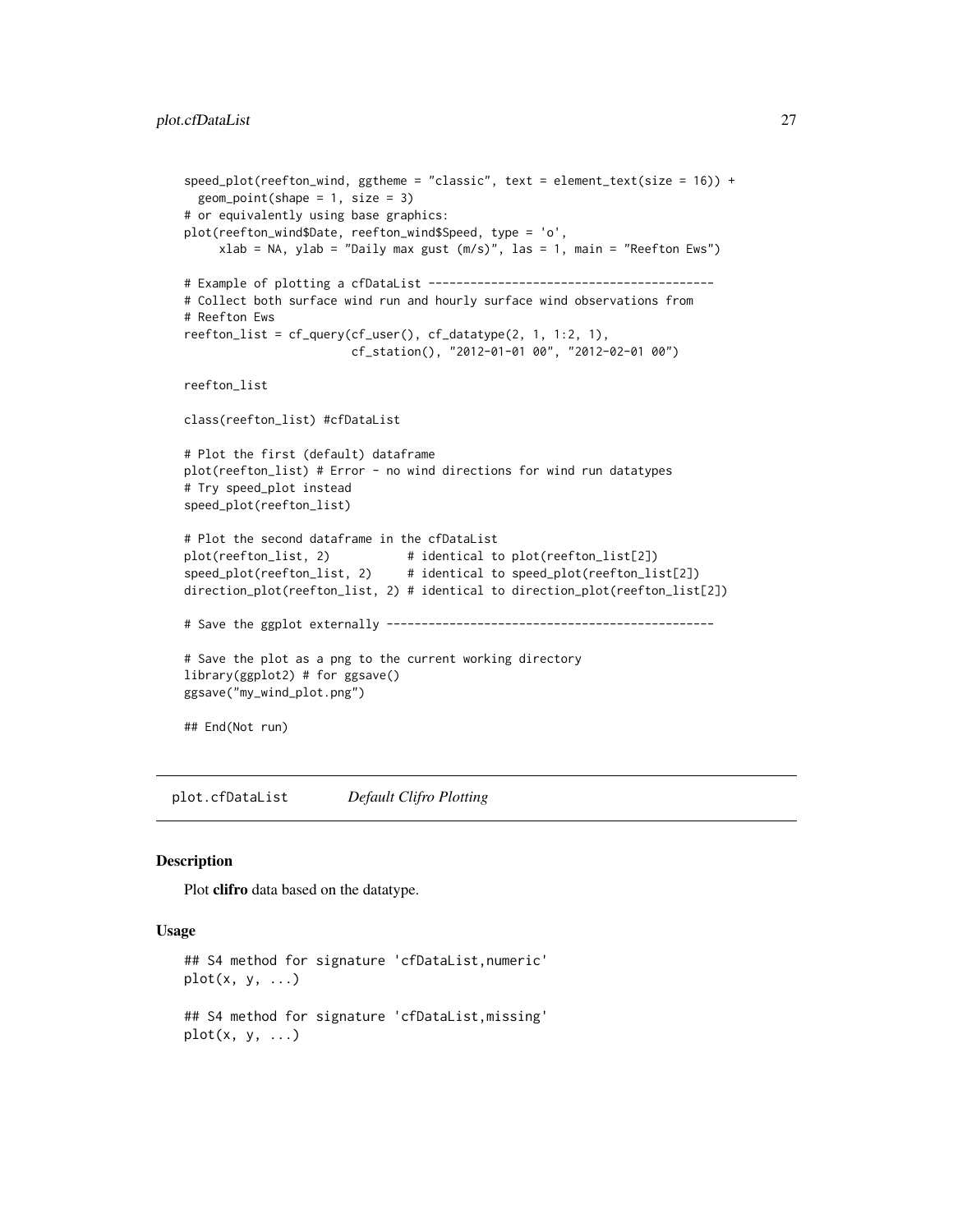```
speed_plot(reefton_wind, ggtheme = "classic", text = element_text(size = 16)) +
  geom\_point(shape = 1, size = 3)# or equivalently using base graphics:
plot(reefton_wind$Date, reefton_wind$Speed, type = 'o',
     xlab = NA, ylab = "Daily max gust (m/s)", las = 1, main = "Reefton Ews")
# Example of plotting a cfDataList -----------------------------------------
# Collect both surface wind run and hourly surface wind observations from
# Reefton Ews
reefton_list = cf_query(cf_user(), cf_datatype(2, 1, 1:2, 1),
                        cf_station(), "2012-01-01 00", "2012-02-01 00")
reefton_list
class(reefton_list) #cfDataList
# Plot the first (default) dataframe
plot(reefton_list) # Error - no wind directions for wind run datatypes
# Try speed_plot instead
speed_plot(reefton_list)
# Plot the second dataframe in the cfDataList
plot(reefton_list, 2) \qquad \qquad #\text{ identical to plot(reefton_list[2])}speed_plot(reefton_list, 2) # identical to speed_plot(reefton_list[2])
direction_plot(reefton_list, 2) # identical to direction_plot(reefton_list[2])
# Save the ggplot externally -----------------------------------------------
# Save the plot as a png to the current working directory
library(ggplot2) # for ggsave()
ggsave("my_wind_plot.png")
## End(Not run)
```
plot.cfDataList *Default Clifro Plotting*

#### Description

Plot clifro data based on the datatype.

# Usage

```
## S4 method for signature 'cfDataList,numeric'
plot(x, y, \ldots)## S4 method for signature 'cfDataList,missing'
plot(x, y, \ldots)
```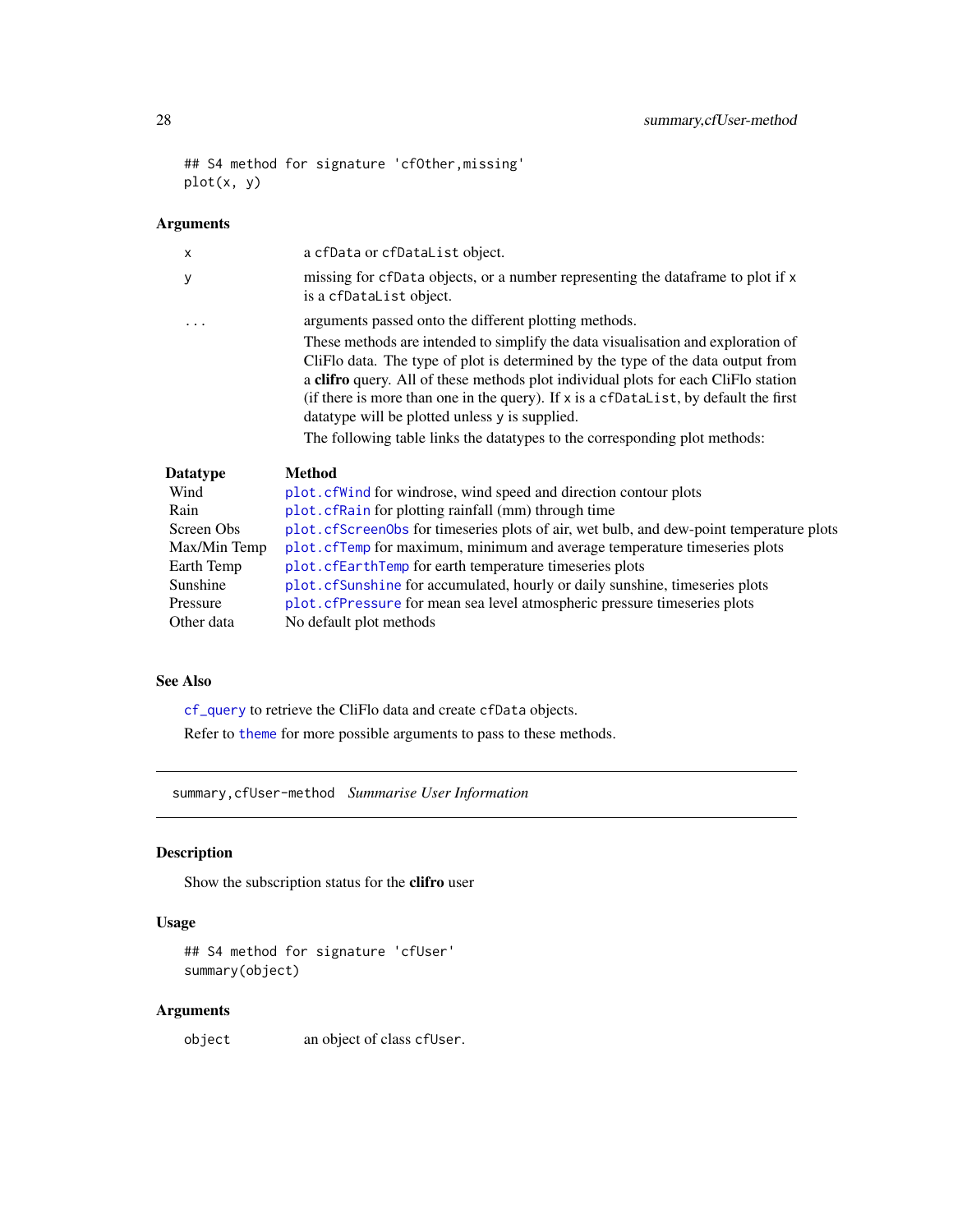```
## S4 method for signature 'cfOther,missing'
plot(x, y)
```
# Arguments

| a cfData or cfDataList object.                                                                                                                                                                                                                                                                                                                                                                                                                                                                                                               |
|----------------------------------------------------------------------------------------------------------------------------------------------------------------------------------------------------------------------------------------------------------------------------------------------------------------------------------------------------------------------------------------------------------------------------------------------------------------------------------------------------------------------------------------------|
| missing for cfData objects, or a number representing the data frame to plot if x<br>is a cfDataList object.                                                                                                                                                                                                                                                                                                                                                                                                                                  |
| arguments passed onto the different plotting methods.<br>These methods are intended to simplify the data visualisation and exploration of<br>CliFlo data. The type of plot is determined by the type of the data output from<br>a clifro query. All of these methods plot individual plots for each CliFlo station<br>(if there is more than one in the query). If x is a cfDataList, by default the first<br>data type will be plotted unless y is supplied.<br>The following table links the data types to the corresponding plot methods: |
| <b>Method</b>                                                                                                                                                                                                                                                                                                                                                                                                                                                                                                                                |
| plot. cf Wind for windrose, wind speed and direction contour plots                                                                                                                                                                                                                                                                                                                                                                                                                                                                           |
| plot. cfRain for plotting rainfall (mm) through time                                                                                                                                                                                                                                                                                                                                                                                                                                                                                         |
| plot. cfScreen0bs for timeseries plots of air, wet bulb, and dew-point temperature plots                                                                                                                                                                                                                                                                                                                                                                                                                                                     |
| plot. cfTemp for maximum, minimum and average temperature timeseries plots                                                                                                                                                                                                                                                                                                                                                                                                                                                                   |
| plot.cfEarthTemp for earth temperature timeseries plots                                                                                                                                                                                                                                                                                                                                                                                                                                                                                      |
| plot. cfSunshine for accumulated, hourly or daily sunshine, timeseries plots                                                                                                                                                                                                                                                                                                                                                                                                                                                                 |
| plot. cfPressure for mean sea level atmospheric pressure timeseries plots                                                                                                                                                                                                                                                                                                                                                                                                                                                                    |
|                                                                                                                                                                                                                                                                                                                                                                                                                                                                                                                                              |

# See Also

[cf\\_query](#page-9-1) to retrieve the CliFlo data and create cfData objects. Refer to [theme](#page-0-0) for more possible arguments to pass to these methods.

summary,cfUser-method *Summarise User Information*

# Description

Show the subscription status for the clifro user

Other data No default plot methods

# Usage

```
## S4 method for signature 'cfUser'
summary(object)
```
# Arguments

object an object of class cfUser.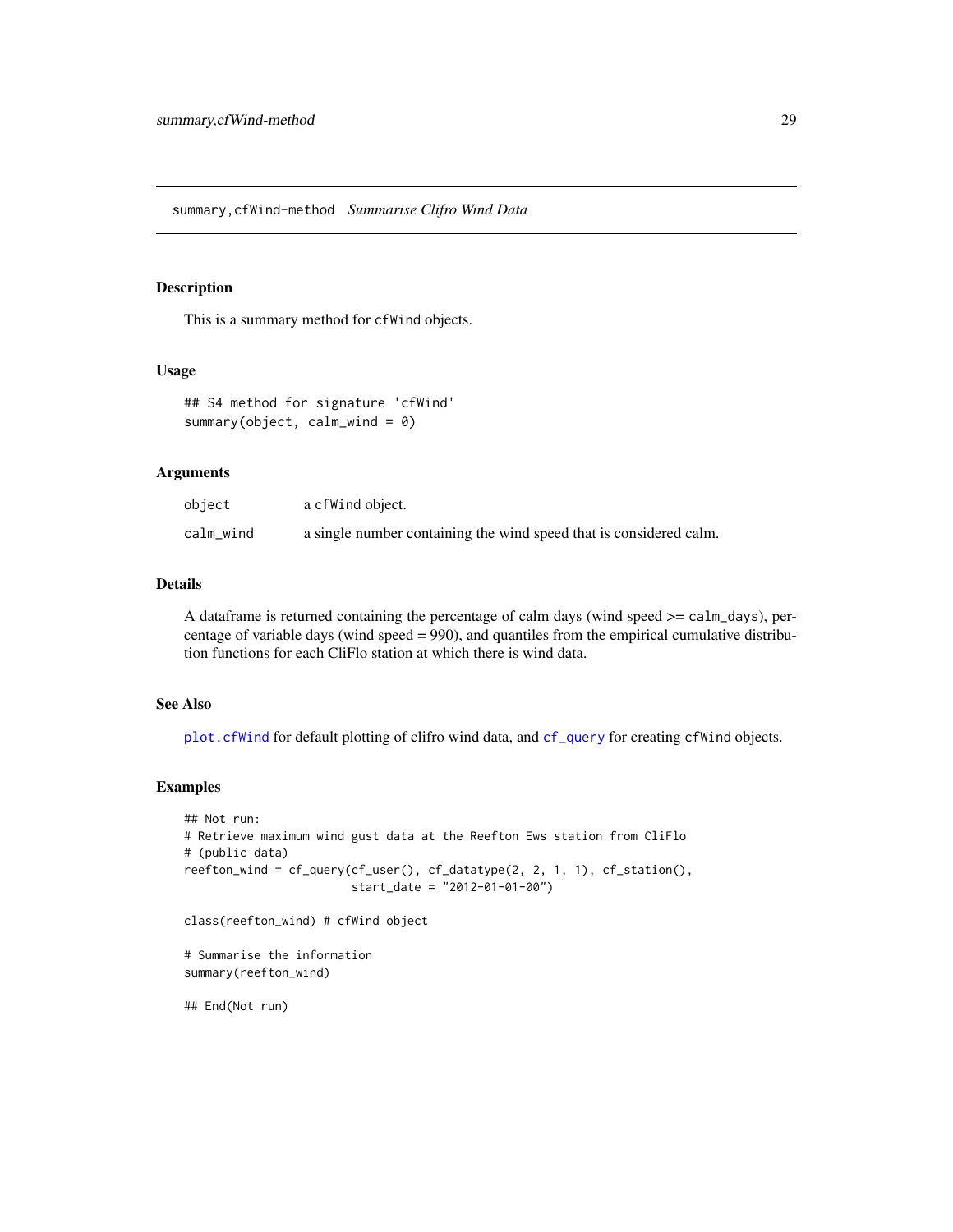#### <span id="page-28-0"></span>Description

This is a summary method for cfWind objects.

# Usage

```
## S4 method for signature 'cfWind'
summary(object, calm_wind = 0)
```
# Arguments

| object    | a cfWind object.                                                   |
|-----------|--------------------------------------------------------------------|
| calm_wind | a single number containing the wind speed that is considered calm. |

# Details

A dataframe is returned containing the percentage of calm days (wind speed >= calm\_days), percentage of variable days (wind speed = 990), and quantiles from the empirical cumulative distribution functions for each CliFlo station at which there is wind data.

# See Also

[plot.cfWind](#page-23-1) for default plotting of clifro wind data, and [cf\\_query](#page-9-1) for creating cfWind objects.

# Examples

```
## Not run:
# Retrieve maximum wind gust data at the Reefton Ews station from CliFlo
# (public data)
reefton_wind = cf_query(cf_user(), cf_datatype(2, 2, 1, 1), cf_station(),
                        start_date = "2012-01-01-00")
```
class(reefton\_wind) # cfWind object

```
# Summarise the information
summary(reefton_wind)
```
## End(Not run)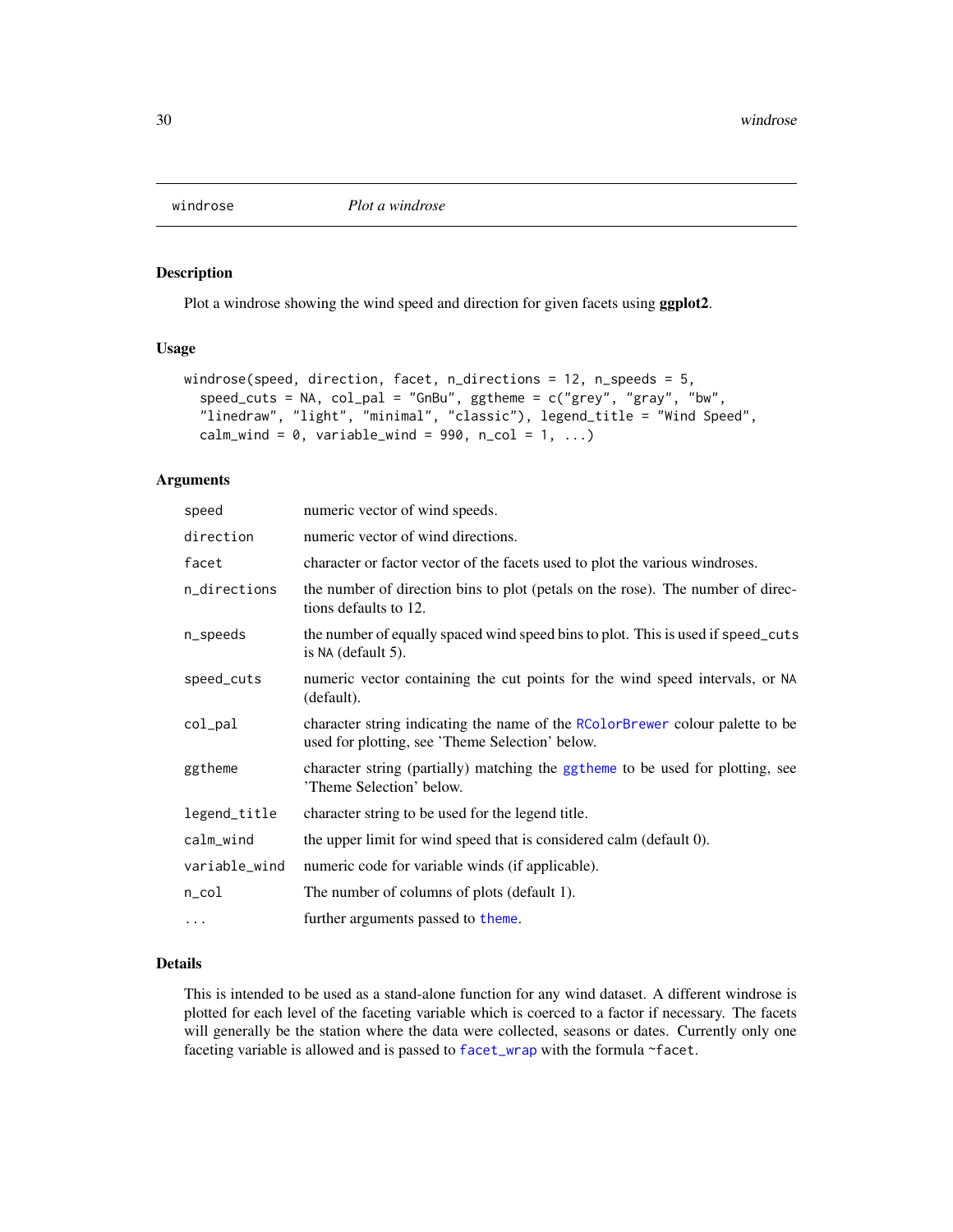<span id="page-29-1"></span><span id="page-29-0"></span>

# Description

Plot a windrose showing the wind speed and direction for given facets using ggplot2.

#### Usage

```
windrose(speed, direction, facet, n_directions = 12, n_speeds = 5,
  speed\_cuts = NA, col\_pal = "GnBu", ggtheme = c("grey", "gray", "bw","linedraw", "light", "minimal", "classic"), legend_title = "Wind Speed",
  calm_wind = 0, variable_wind = 990, n_col = 1, ...)
```
# Arguments

| speed         | numeric vector of wind speeds.                                                                                                   |
|---------------|----------------------------------------------------------------------------------------------------------------------------------|
| direction     | numeric vector of wind directions.                                                                                               |
| facet         | character or factor vector of the facets used to plot the various windroses.                                                     |
| n_directions  | the number of direction bins to plot (petals on the rose). The number of direc-<br>tions defaults to 12.                         |
| n_speeds      | the number of equally spaced wind speed bins to plot. This is used if speed_cuts<br>is $NA$ (default 5).                         |
| speed_cuts    | numeric vector containing the cut points for the wind speed intervals, or NA<br>(default).                                       |
| col_pal       | character string indicating the name of the RColorBrewer colour palette to be<br>used for plotting, see 'Theme Selection' below. |
| ggtheme       | character string (partially) matching the ggtheme to be used for plotting, see<br>'Theme Selection' below.                       |
| legend_title  | character string to be used for the legend title.                                                                                |
| calm_wind     | the upper limit for wind speed that is considered calm (default 0).                                                              |
| variable_wind | numeric code for variable winds (if applicable).                                                                                 |
| n_col         | The number of columns of plots (default 1).                                                                                      |
| $\ddots$      | further arguments passed to theme.                                                                                               |

# Details

This is intended to be used as a stand-alone function for any wind dataset. A different windrose is plotted for each level of the faceting variable which is coerced to a factor if necessary. The facets will generally be the station where the data were collected, seasons or dates. Currently only one faceting variable is allowed and is passed to [facet\\_wrap](#page-0-0) with the formula ~facet.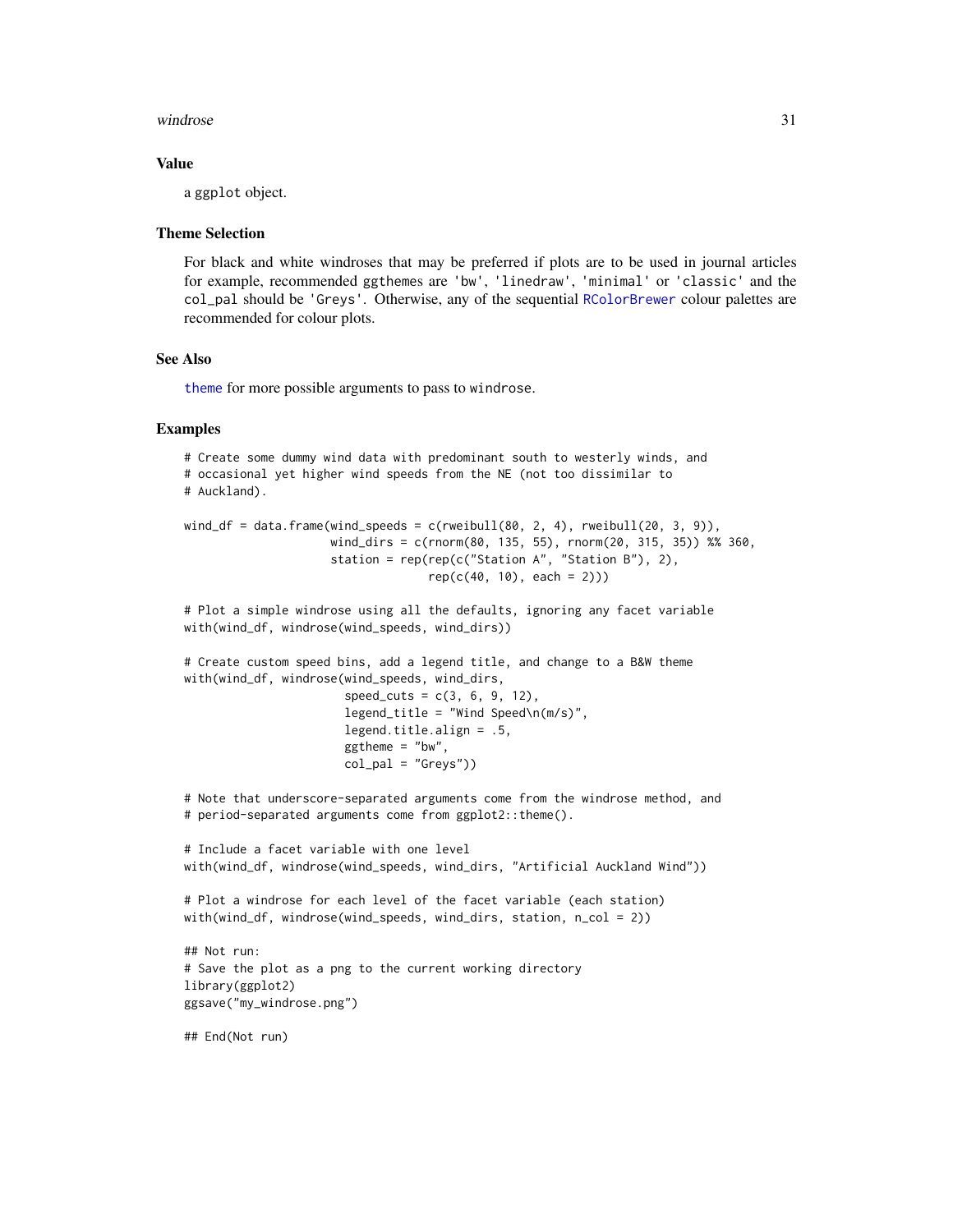#### <span id="page-30-0"></span>windrose 31

# Value

a ggplot object.

#### Theme Selection

For black and white windroses that may be preferred if plots are to be used in journal articles for example, recommended ggthemes are 'bw', 'linedraw', 'minimal' or 'classic' and the col\_pal should be 'Greys'. Otherwise, any of the sequential [RColorBrewer](#page-0-0) colour palettes are recommended for colour plots.

# See Also

[theme](#page-0-0) for more possible arguments to pass to windrose.

```
# Create some dummy wind data with predominant south to westerly winds, and
# occasional yet higher wind speeds from the NE (not too dissimilar to
# Auckland).
wind_df = data.frame(wind_speeds = c(rweibull(80, 2, 4), rweibull(20, 3, 9)),
                     wind_dirs = c(rnorm(80, 135, 55), rnorm(20, 315, 35)) %% 360,
                     station = rep(rep(c("Station A", "Station B"), 2),rep(c(40, 10), each = 2))# Plot a simple windrose using all the defaults, ignoring any facet variable
with(wind_df, windrose(wind_speeds, wind_dirs))
# Create custom speed bins, add a legend title, and change to a B&W theme
with(wind_df, windrose(wind_speeds, wind_dirs,
                       speed\_cuts = c(3, 6, 9, 12),legend\_title = "Wind Speed\n(m/s)",
                       legend.title.align = .5,
                       ggtheme = "bw",
                       col\_pal = "Greys"))# Note that underscore-separated arguments come from the windrose method, and
# period-separated arguments come from ggplot2::theme().
# Include a facet variable with one level
with(wind_df, windrose(wind_speeds, wind_dirs, "Artificial Auckland Wind"))
# Plot a windrose for each level of the facet variable (each station)
with(wind_df, windrose(wind_speeds, wind_dirs, station, n_col = 2))
## Not run:
# Save the plot as a png to the current working directory
library(ggplot2)
ggsave("my_windrose.png")
## End(Not run)
```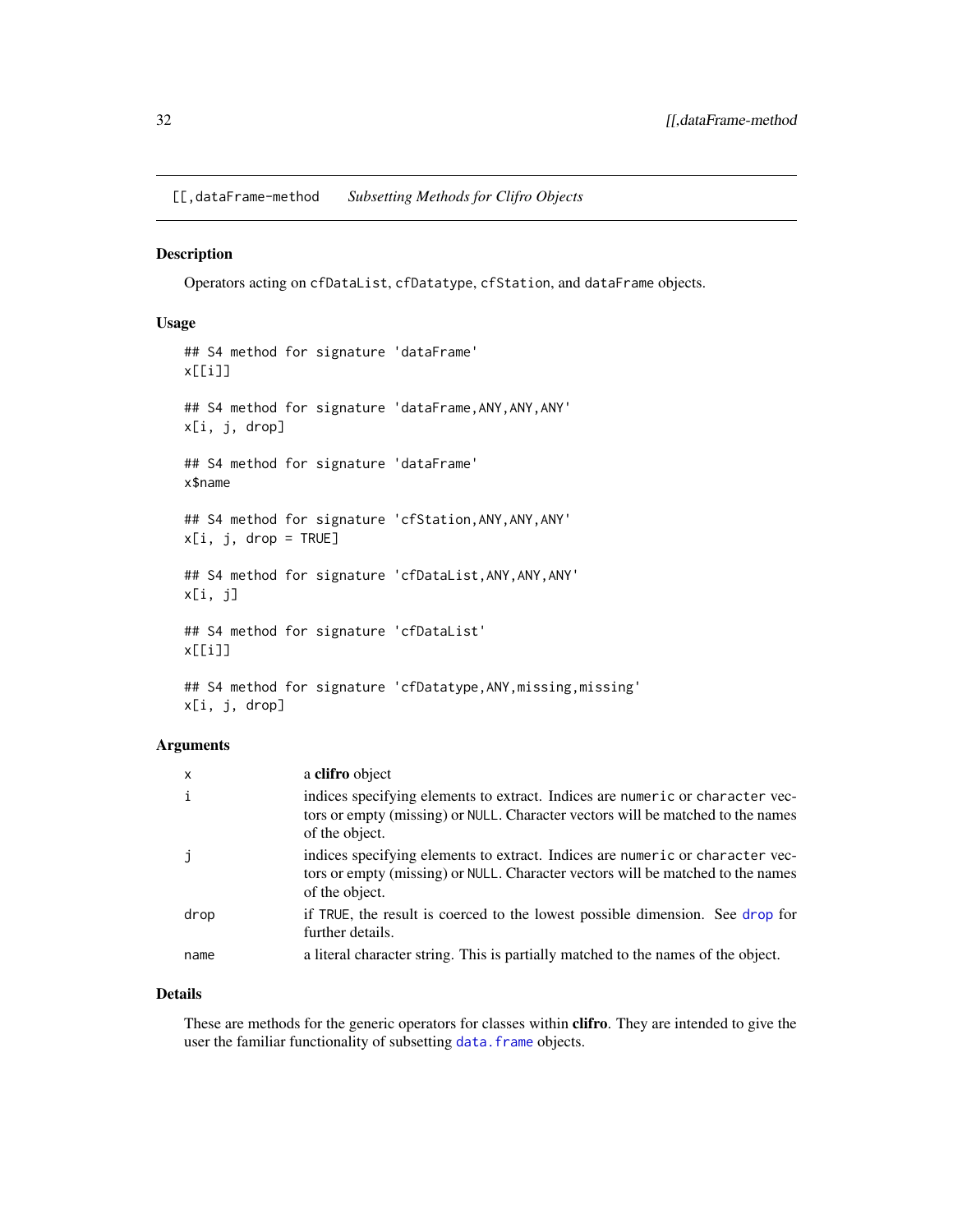<span id="page-31-0"></span>[[,dataFrame-method *Subsetting Methods for Clifro Objects*

# Description

Operators acting on cfDataList, cfDatatype, cfStation, and dataFrame objects.

# Usage

```
## S4 method for signature 'dataFrame'
x[[i]]
## S4 method for signature 'dataFrame,ANY,ANY,ANY'
x[i, j, drop]
## S4 method for signature 'dataFrame'
x$name
## S4 method for signature 'cfStation,ANY,ANY,ANY'
x[i, j, drop = TRUE]## S4 method for signature 'cfDataList,ANY,ANY,ANY'
x[i, j]
## S4 method for signature 'cfDataList'
x[[i]]
## S4 method for signature 'cfDatatype, ANY, missing, missing'
```
x[i, j, drop]

# Arguments

| $\mathsf{x}$ | a clifro object                                                                                                                                                                    |
|--------------|------------------------------------------------------------------------------------------------------------------------------------------------------------------------------------|
| i            | indices specifying elements to extract. Indices are numeric or character vec-<br>tors or empty (missing) or NULL. Character vectors will be matched to the names<br>of the object. |
| $\mathbf{J}$ | indices specifying elements to extract. Indices are numeric or character vec-<br>tors or empty (missing) or NULL. Character vectors will be matched to the names<br>of the object. |
| drop         | if TRUE, the result is coerced to the lowest possible dimension. See drop for<br>further details.                                                                                  |
| name         | a literal character string. This is partially matched to the names of the object.                                                                                                  |

# Details

These are methods for the generic operators for classes within **clifro**. They are intended to give the user the familiar functionality of subsetting data. frame objects.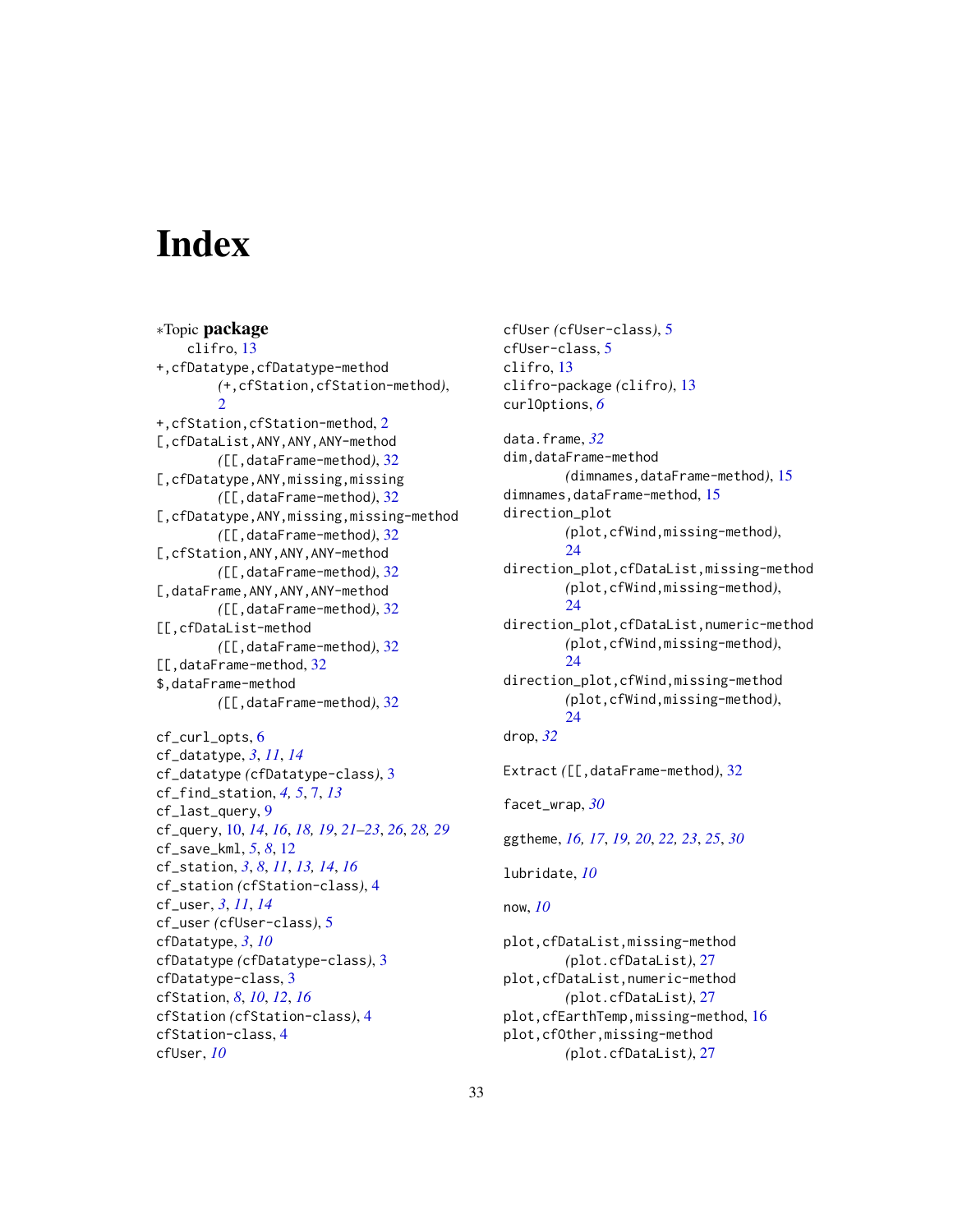# <span id="page-32-0"></span>**Index**

∗Topic package clifro, [13](#page-12-0) +,cfDatatype,cfDatatype-method *(*+,cfStation,cfStation-method*)*,  $\mathcal{D}$ +,cfStation,cfStation-method, [2](#page-1-0) [,cfDataList,ANY,ANY,ANY-method *(*[[,dataFrame-method*)*, [32](#page-31-0) [,cfDatatype,ANY,missing,missing *(*[[,dataFrame-method*)*, [32](#page-31-0) [,cfDatatype,ANY,missing,missing-method *(*[[,dataFrame-method*)*, [32](#page-31-0) [,cfStation,ANY,ANY,ANY-method *(*[[,dataFrame-method*)*, [32](#page-31-0) [,dataFrame,ANY,ANY,ANY-method *(*[[,dataFrame-method*)*, [32](#page-31-0) [[,cfDataList-method *(*[[,dataFrame-method*)*, [32](#page-31-0) [[,dataFrame-method, [32](#page-31-0) \$,dataFrame-method *(*[[,dataFrame-method*)*, [32](#page-31-0)

```
cf_curl_opts, 6
cf_datatype, 3, 11, 14
cf_datatype (cfDatatype-class), 3
cf_find_station, 4, 5, 7, 13
cf_last_query, 9
cf_query, 10, 14, 16, 18, 19, 21–23, 26, 28, 29
cf_save_kml, 5, 8, 12
cf_station, 3, 8, 11, 13, 14, 16
cf_station (cfStation-class), 4
cf_user, 3, 11, 14
cf_user (cfUser-class), 5
cfDatatype, 3, 10
cfDatatype (cfDatatype-class), 3
cfDatatype-class, 3
cfStation, 8, 10, 12, 16
cfStation (cfStation-class), 4
cfStation-class, 4
cfUser, 10
```
cfUser *(*cfUser-class*)*, [5](#page-4-0) cfUser-class, [5](#page-4-0) clifro, [13](#page-12-0) clifro-package *(*clifro*)*, [13](#page-12-0) curlOptions, *[6](#page-5-0)*

data.frame, *[32](#page-31-0)* dim,dataFrame-method *(*dimnames,dataFrame-method*)*, [15](#page-14-0) dimnames,dataFrame-method, [15](#page-14-0) direction\_plot *(*plot,cfWind,missing-method*)*, [24](#page-23-0) direction\_plot,cfDataList,missing-method *(*plot,cfWind,missing-method*)*, [24](#page-23-0) direction\_plot,cfDataList,numeric-method *(*plot,cfWind,missing-method*)*, [24](#page-23-0) direction\_plot,cfWind,missing-method *(*plot,cfWind,missing-method*)*, [24](#page-23-0) drop, *[32](#page-31-0)* Extract *(*[[,dataFrame-method*)*, [32](#page-31-0) facet\_wrap, *[30](#page-29-0)* ggtheme, *[16,](#page-15-0) [17](#page-16-0)*, *[19,](#page-18-0) [20](#page-19-0)*, *[22,](#page-21-0) [23](#page-22-0)*, *[25](#page-24-0)*, *[30](#page-29-0)* lubridate, *[10](#page-9-0)* now, *[10](#page-9-0)* plot,cfDataList,missing-method *(*plot.cfDataList*)*, [27](#page-26-0) plot,cfDataList,numeric-method *(*plot.cfDataList*)*, [27](#page-26-0) plot,cfEarthTemp,missing-method, [16](#page-15-0)

plot,cfOther,missing-method

*(*plot.cfDataList*)*, [27](#page-26-0)